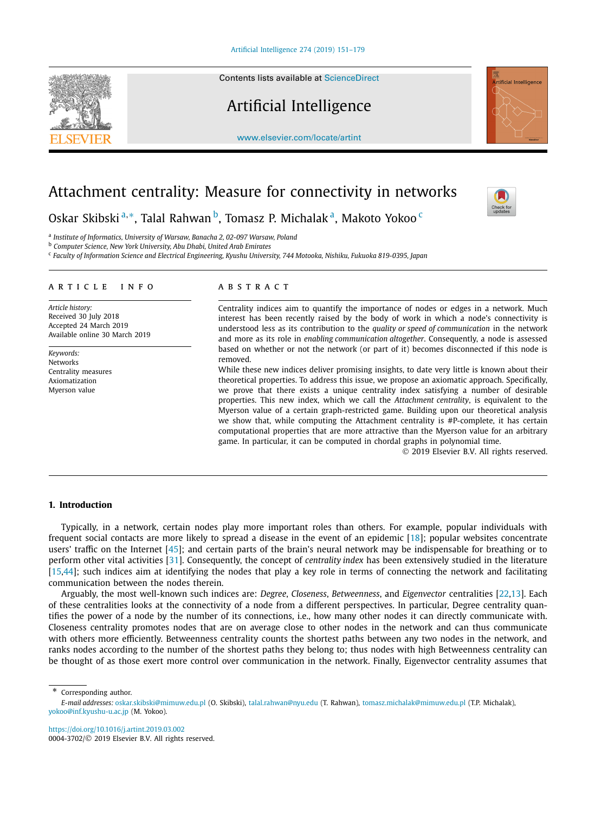Contents lists available at [ScienceDirect](http://www.ScienceDirect.com/)

# Artificial Intelligence

[www.elsevier.com/locate/artint](http://www.elsevier.com/locate/artint)

# Attachment centrality: Measure for connectivity in networks

Oskar Skibski<sup>a,∗</sup>, Talal Rahwan<sup>b</sup>, Tomasz P. Michalak<sup>a</sup>, Makoto Yokoo<sup>c</sup>

<sup>a</sup> *Institute of Informatics, University of Warsaw, Banacha 2, 02-097 Warsaw, Poland*

<sup>b</sup> *Computer Science, New York University, Abu Dhabi, United Arab Emirates*

<sup>c</sup> Faculty of Information Science and Electrical Engineering, Kyushu University, 744 Motooka, Nishiku, Fukuoka 819-0395, Japan

### A R T I C L E I N F O A B S T R A C T

*Article history:* Received 30 July 2018 Accepted 24 March 2019 Available online 30 March 2019

*Keywords:* **Networks** Centrality measures Axiomatization Myerson value

Centrality indices aim to quantify the importance of nodes or edges in a network. Much interest has been recently raised by the body of work in which a node's connectivity is understood less as its contribution to the *quality or speed of communication* in the network and more as its role in *enabling communication altogether*. Consequently, a node is assessed based on whether or not the network (or part of it) becomes disconnected if this node is removed.

While these new indices deliver promising insights, to date very little is known about their theoretical properties. To address this issue, we propose an axiomatic approach. Specifically, we prove that there exists a unique centrality index satisfying a number of desirable properties. This new index, which we call the *Attachment centrality*, is equivalent to the Myerson value of a certain graph-restricted game. Building upon our theoretical analysis we show that, while computing the Attachment centrality is #P-complete, it has certain computational properties that are more attractive than the Myerson value for an arbitrary game. In particular, it can be computed in chordal graphs in polynomial time.

© 2019 Elsevier B.V. All rights reserved.

# **1. Introduction**

Typically, in a network, certain nodes play more important roles than others. For example, popular individuals with frequent social contacts are more likely to spread a disease in the event of an epidemic [\[18\]](#page-27-0); popular websites concentrate users' traffic on the Internet [\[45\]](#page-28-0); and certain parts of the brain's neural network may be indispensable for breathing or to perform other vital activities [\[31\]](#page-27-0). Consequently, the concept of *centrality index* has been extensively studied in the literature [\[15,](#page-27-0)[44\]](#page-28-0); such indices aim at identifying the nodes that play a key role in terms of connecting the network and facilitating communication between the nodes therein.

Arguably, the most well-known such indices are: *Degree*, *Closeness*, *Betweenness*, and *Eigenvector* centralities [\[22,13\]](#page-27-0). Each of these centralities looks at the connectivity of a node from a different perspectives. In particular, Degree centrality quantifies the power of a node by the number of its connections, i.e., how many other nodes it can directly communicate with. Closeness centrality promotes nodes that are on average close to other nodes in the network and can thus communicate with others more efficiently. Betweenness centrality counts the shortest paths between any two nodes in the network, and ranks nodes according to the number of the shortest paths they belong to; thus nodes with high Betweenness centrality can be thought of as those exert more control over communication in the network. Finally, Eigenvector centrality assumes that

Corresponding author.

<https://doi.org/10.1016/j.artint.2019.03.002> 0004-3702/© 2019 Elsevier B.V. All rights reserved.







*E-mail addresses:* [oskar.skibski@mimuw.edu.pl](mailto:oskar.skibski@mimuw.edu.pl) (O. Skibski), [talal.rahwan@nyu.edu](mailto:talal.rahwan@nyu.edu) (T. Rahwan), [tomasz.michalak@mimuw.edu.pl](mailto:tomasz.michalak@mimuw.edu.pl) (T.P. Michalak), [yokoo@inf.kyushu-u.ac.jp](mailto:yokoo@inf.kyushu-u.ac.jp) (M. Yokoo).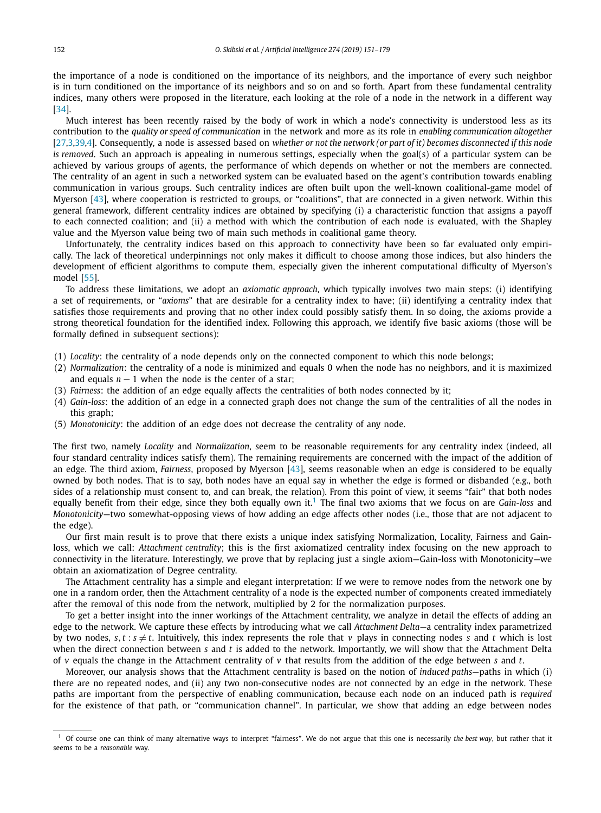the importance of a node is conditioned on the importance of its neighbors, and the importance of every such neighbor is in turn conditioned on the importance of its neighbors and so on and so forth. Apart from these fundamental centrality indices, many others were proposed in the literature, each looking at the role of a node in the network in a different way [\[34\]](#page-27-0).

Much interest has been recently raised by the body of work in which a node's connectivity is understood less as its contribution to the *quality or speed of communication* in the network and more as its role in *enabling communication altogether* [\[27,3,](#page-27-0)[39,](#page-28-0)[4\]](#page-27-0). Consequently, a node is assessed based on whether or not the network (or part of it) becomes disconnected if this node *is removed*. Such an approach is appealing in numerous settings, especially when the goal(s) of a particular system can be achieved by various groups of agents, the performance of which depends on whether or not the members are connected. The centrality of an agent in such a networked system can be evaluated based on the agent's contribution towards enabling communication in various groups. Such centrality indices are often built upon the well-known coalitional-game model of Myerson [\[43\]](#page-28-0), where cooperation is restricted to groups, or "coalitions", that are connected in a given network. Within this general framework, different centrality indices are obtained by specifying (i) a characteristic function that assigns a payoff to each connected coalition; and (ii) a method with which the contribution of each node is evaluated, with the Shapley value and the Myerson value being two of main such methods in coalitional game theory.

Unfortunately, the centrality indices based on this approach to connectivity have been so far evaluated only empirically. The lack of theoretical underpinnings not only makes it difficult to choose among those indices, but also hinders the development of efficient algorithms to compute them, especially given the inherent computational difficulty of Myerson's model [\[55\]](#page-28-0).

To address these limitations, we adopt an *axiomatic approach*, which typically involves two main steps: (i) identifying a set of requirements, or "*axioms*" that are desirable for a centrality index to have; (ii) identifying a centrality index that satisfies those requirements and proving that no other index could possibly satisfy them. In so doing, the axioms provide a strong theoretical foundation for the identified index. Following this approach, we identify five basic axioms (those will be formally defined in subsequent sections):

- (1) *Locality*: the centrality of a node depends only on the connected component to which this node belongs;
- (2) *Normalization*: the centrality of a node is minimized and equals 0 when the node has no neighbors, and it is maximized and equals  $n - 1$  when the node is the center of a star;
- (3) *Fairness*: the addition of an edge equally affects the centralities of both nodes connected by it;
- (4) *Gain-loss*: the addition of an edge in a connected graph does not change the sum of the centralities of all the nodes in this graph;
- (5) *Monotonicity*: the addition of an edge does not decrease the centrality of any node.

The first two, namely *Locality* and *Normalization*, seem to be reasonable requirements for any centrality index (indeed, all four standard centrality indices satisfy them). The remaining requirements are concerned with the impact of the addition of an edge. The third axiom, *Fairness*, proposed by Myerson [\[43\]](#page-28-0), seems reasonable when an edge is considered to be equally owned by both nodes. That is to say, both nodes have an equal say in whether the edge is formed or disbanded (e.g., both sides of a relationship must consent to, and can break, the relation). From this point of view, it seems "fair" that both nodes equally benefit from their edge, since they both equally own it.<sup>1</sup> The final two axioms that we focus on are *Gain-loss* and *Monotonicity*—two somewhat-opposing views of how adding an edge affects other nodes (i.e., those that are not adjacent to the edge).

Our first main result is to prove that there exists a unique index satisfying Normalization, Locality, Fairness and Gainloss, which we call: *Attachment centrality*; this is the first axiomatized centrality index focusing on the new approach to connectivity in the literature. Interestingly, we prove that by replacing just a single axiom—Gain-loss with Monotonicity—we obtain an axiomatization of Degree centrality.

The Attachment centrality has a simple and elegant interpretation: If we were to remove nodes from the network one by one in a random order, then the Attachment centrality of a node is the expected number of components created immediately after the removal of this node from the network, multiplied by 2 for the normalization purposes.

To get a better insight into the inner workings of the Attachment centrality, we analyze in detail the effects of adding an edge to the network. We capture these effects by introducing what we call *Attachment Delta*—a centrality index parametrized by two nodes,  $s, t : s \neq t$ . Intuitively, this index represents the role that *v* plays in connecting nodes *s* and *t* which is lost when the direct connection between *s* and *t* is added to the network. Importantly, we will show that the Attachment Delta of *v* equals the change in the Attachment centrality of *v* that results from the addition of the edge between *s* and *t*.

Moreover, our analysis shows that the Attachment centrality is based on the notion of *induced paths*—paths in which (i) there are no repeated nodes, and (ii) any two non-consecutive nodes are not connected by an edge in the network. These paths are important from the perspective of enabling communication, because each node on an induced path is *required* for the existence of that path, or "communication channel". In particular, we show that adding an edge between nodes

<sup>1</sup> Of course one can think of many alternative ways to interpret "fairness". We do not argue that this one is necessarily *the best way*, but rather that it seems to be a *reasonable* way.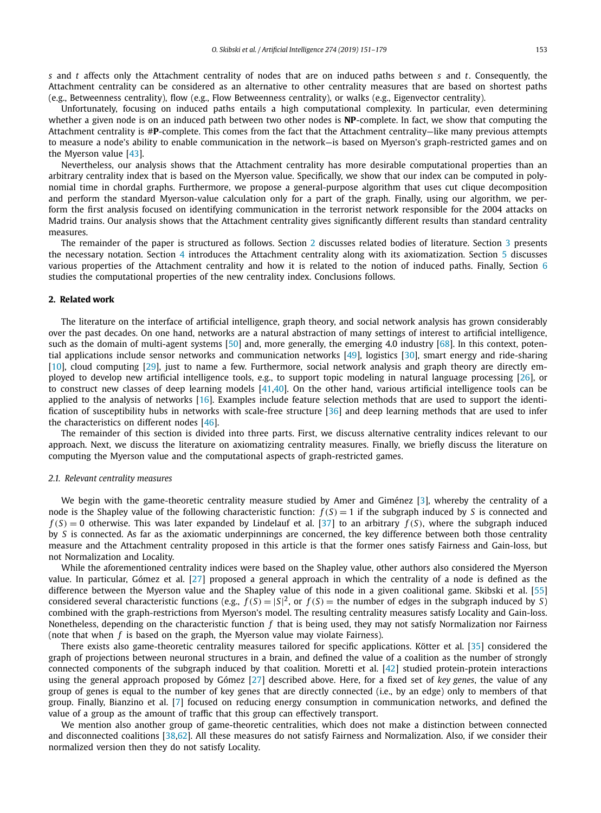<span id="page-2-0"></span>*s* and *t* affects only the Attachment centrality of nodes that are on induced paths between *s* and *t*. Consequently, the Attachment centrality can be considered as an alternative to other centrality measures that are based on shortest paths (e.g., Betweenness centrality), flow (e.g., Flow Betweenness centrality), or walks (e.g., Eigenvector centrality).

Unfortunately, focusing on induced paths entails a high computational complexity. In particular, even determining whether a given node is on an induced path between two other nodes is **NP**-complete. In fact, we show that computing the Attachment centrality is #**P**-complete. This comes from the fact that the Attachment centrality—like many previous attempts to measure a node's ability to enable communication in the network—is based on Myerson's graph-restricted games and on the Myerson value [\[43\]](#page-28-0).

Nevertheless, our analysis shows that the Attachment centrality has more desirable computational properties than an arbitrary centrality index that is based on the Myerson value. Specifically, we show that our index can be computed in polynomial time in chordal graphs. Furthermore, we propose a general-purpose algorithm that uses cut clique decomposition and perform the standard Myerson-value calculation only for a part of the graph. Finally, using our algorithm, we perform the first analysis focused on identifying communication in the terrorist network responsible for the 2004 attacks on Madrid trains. Our analysis shows that the Attachment centrality gives significantly different results than standard centrality measures.

The remainder of the paper is structured as follows. Section 2 discusses related bodies of literature. Section [3](#page-4-0) presents the necessary notation. Section [4](#page-6-0) introduces the Attachment centrality along with its axiomatization. Section [5](#page-11-0) discusses various properties of the Attachment centrality and how it is related to the notion of induced paths. Finally, Section [6](#page-16-0) studies the computational properties of the new centrality index. Conclusions follows.

### **2. Related work**

The literature on the interface of artificial intelligence, graph theory, and social network analysis has grown considerably over the past decades. On one hand, networks are a natural abstraction of many settings of interest to artificial intelligence, such as the domain of multi-agent systems [\[50\]](#page-28-0) and, more generally, the emerging 4.0 industry [\[68\]](#page-28-0). In this context, potential applications include sensor networks and communication networks [\[49\]](#page-28-0), logistics [\[30\]](#page-27-0), smart energy and ride-sharing [\[10\]](#page-27-0), cloud computing [\[29\]](#page-27-0), just to name a few. Furthermore, social network analysis and graph theory are directly employed to develop new artificial intelligence tools, e.g., to support topic modeling in natural language processing [\[26\]](#page-27-0), or to construct new classes of deep learning models [\[41,40\]](#page-28-0). On the other hand, various artificial intelligence tools can be applied to the analysis of networks [\[16\]](#page-27-0). Examples include feature selection methods that are used to support the identification of susceptibility hubs in networks with scale-free structure [\[36\]](#page-28-0) and deep learning methods that are used to infer the characteristics on different nodes [\[46\]](#page-28-0).

The remainder of this section is divided into three parts. First, we discuss alternative centrality indices relevant to our approach. Next, we discuss the literature on axiomatizing centrality measures. Finally, we briefly discuss the literature on computing the Myerson value and the computational aspects of graph-restricted games.

### *2.1. Relevant centrality measures*

We begin with the game-theoretic centrality measure studied by Amer and Giménez [\[3\]](#page-27-0), whereby the centrality of a node is the Shapley value of the following characteristic function:  $f(S) = 1$  if the subgraph induced by *S* is connected and  $f(S) = 0$  otherwise. This was later expanded by Lindelauf et al. [\[37\]](#page-28-0) to an arbitrary  $f(S)$ , where the subgraph induced by *S* is connected. As far as the axiomatic underpinnings are concerned, the key difference between both those centrality measure and the Attachment centrality proposed in this article is that the former ones satisfy Fairness and Gain-loss, but not Normalization and Locality.

While the aforementioned centrality indices were based on the Shapley value, other authors also considered the Myerson value. In particular, Gómez et al. [\[27\]](#page-27-0) proposed a general approach in which the centrality of a node is defined as the difference between the Myerson value and the Shapley value of this node in a given coalitional game. Skibski et al. [\[55\]](#page-28-0) considered several characteristic functions (e.g.,  $f(S) = |S|^2$ , or  $f(S) =$  the number of edges in the subgraph induced by *S*) combined with the graph-restrictions from Myerson's model. The resulting centrality measures satisfy Locality and Gain-loss. Nonetheless, depending on the characteristic function *f* that is being used, they may not satisfy Normalization nor Fairness (note that when *f* is based on the graph, the Myerson value may violate Fairness).

There exists also game-theoretic centrality measures tailored for specific applications. Kötter et al. [\[35\]](#page-28-0) considered the graph of projections between neuronal structures in a brain, and defined the value of a coalition as the number of strongly connected components of the subgraph induced by that coalition. Moretti et al. [\[42\]](#page-28-0) studied protein-protein interactions using the general approach proposed by Gómez [\[27\]](#page-27-0) described above. Here, for a fixed set of *key genes*, the value of any group of genes is equal to the number of key genes that are directly connected (i.e., by an edge) only to members of that group. Finally, Bianzino et al. [\[7\]](#page-27-0) focused on reducing energy consumption in communication networks, and defined the value of a group as the amount of traffic that this group can effectively transport.

We mention also another group of game-theoretic centralities, which does not make a distinction between connected and disconnected coalitions [\[38,62\]](#page-28-0). All these measures do not satisfy Fairness and Normalization. Also, if we consider their normalized version then they do not satisfy Locality.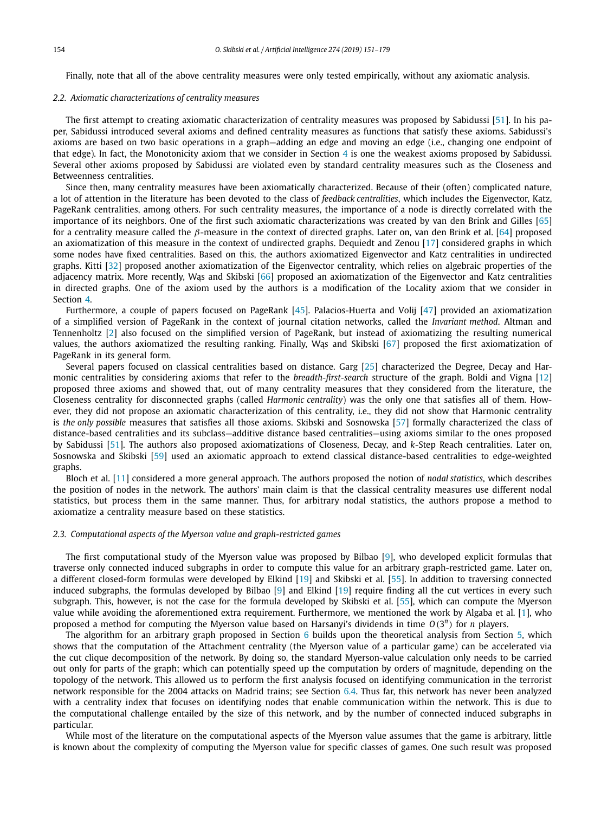Finally, note that all of the above centrality measures were only tested empirically, without any axiomatic analysis.

#### *2.2. Axiomatic characterizations of centrality measures*

The first attempt to creating axiomatic characterization of centrality measures was proposed by Sabidussi [\[51\]](#page-28-0). In his paper, Sabidussi introduced several axioms and defined centrality measures as functions that satisfy these axioms. Sabidussi's axioms are based on two basic operations in a graph—adding an edge and moving an edge (i.e., changing one endpoint of that edge). In fact, the Monotonicity axiom that we consider in Section [4](#page-6-0) is one the weakest axioms proposed by Sabidussi. Several other axioms proposed by Sabidussi are violated even by standard centrality measures such as the Closeness and Betweenness centralities.

Since then, many centrality measures have been axiomatically characterized. Because of their (often) complicated nature, a lot of attention in the literature has been devoted to the class of *feedback centralities*, which includes the Eigenvector, Katz, PageRank centralities, among others. For such centrality measures, the importance of a node is directly correlated with the importance of its neighbors. One of the first such axiomatic characterizations was created by van den Brink and Gilles [\[65\]](#page-28-0) for a centrality measure called the *β*-measure in the context of directed graphs. Later on, van den Brink et al. [\[64\]](#page-28-0) proposed an axiomatization of this measure in the context of undirected graphs. Dequiedt and Zenou [\[17\]](#page-27-0) considered graphs in which some nodes have fixed centralities. Based on this, the authors axiomatized Eigenvector and Katz centralities in undirected graphs. Kitti [\[32\]](#page-27-0) proposed another axiomatization of the Eigenvector centrality, which relies on algebraic properties of the adjacency matrix. More recently, Was and Skibski [\[66\]](#page-28-0) proposed an axiomatization of the Eigenvector and Katz centralities in directed graphs. One of the axiom used by the authors is a modification of the Locality axiom that we consider in Section [4.](#page-6-0)

Furthermore, a couple of papers focused on PageRank [\[45\]](#page-28-0). Palacios-Huerta and Volij [\[47\]](#page-28-0) provided an axiomatization of a simplified version of PageRank in the context of journal citation networks, called the *Invariant method*. Altman and Tennenholtz [\[2\]](#page-27-0) also focused on the simplified version of PageRank, but instead of axiomatizing the resulting numerical values, the authors axiomatized the resulting ranking. Finally, Was and Skibski [\[67\]](#page-28-0) proposed the first axiomatization of PageRank in its general form.

Several papers focused on classical centralities based on distance. Garg [\[25\]](#page-27-0) characterized the Degree, Decay and Harmonic centralities by considering axioms that refer to the *breadth-first-search* structure of the graph. Boldi and Vigna [\[12\]](#page-27-0) proposed three axioms and showed that, out of many centrality measures that they considered from the literature, the Closeness centrality for disconnected graphs (called *Harmonic centrality*) was the only one that satisfies all of them. However, they did not propose an axiomatic characterization of this centrality, i.e., they did not show that Harmonic centrality is *the only possible* measures that satisfies all those axioms. Skibski and Sosnowska [\[57\]](#page-28-0) formally characterized the class of distance-based centralities and its subclass—additive distance based centralities—using axioms similar to the ones proposed by Sabidussi [\[51\]](#page-28-0). The authors also proposed axiomatizations of Closeness, Decay, and *k*-Step Reach centralities. Later on, Sosnowska and Skibski [\[59\]](#page-28-0) used an axiomatic approach to extend classical distance-based centralities to edge-weighted graphs.

Bloch et al. [\[11\]](#page-27-0) considered a more general approach. The authors proposed the notion of *nodal statistics*, which describes the position of nodes in the network. The authors' main claim is that the classical centrality measures use different nodal statistics, but process them in the same manner. Thus, for arbitrary nodal statistics, the authors propose a method to axiomatize a centrality measure based on these statistics.

# *2.3. Computational aspects of the Myerson value and graph-restricted games*

The first computational study of the Myerson value was proposed by Bilbao [\[9\]](#page-27-0), who developed explicit formulas that traverse only connected induced subgraphs in order to compute this value for an arbitrary graph-restricted game. Later on, a different closed-form formulas were developed by Elkind [\[19\]](#page-27-0) and Skibski et al. [\[55\]](#page-28-0). In addition to traversing connected induced subgraphs, the formulas developed by Bilbao [\[9\]](#page-27-0) and Elkind [\[19\]](#page-27-0) require finding all the cut vertices in every such subgraph. This, however, is not the case for the formula developed by Skibski et al. [\[55\]](#page-28-0), which can compute the Myerson value while avoiding the aforementioned extra requirement. Furthermore, we mentioned the work by Algaba et al. [\[1\]](#page-27-0), who proposed a method for computing the Myerson value based on Harsanyi's dividends in time *O(*3*<sup>n</sup>)* for *n* players.

The algorithm for an arbitrary graph proposed in Section [6](#page-16-0) builds upon the theoretical analysis from Section [5,](#page-11-0) which shows that the computation of the Attachment centrality (the Myerson value of a particular game) can be accelerated via the cut clique decomposition of the network. By doing so, the standard Myerson-value calculation only needs to be carried out only for parts of the graph; which can potentially speed up the computation by orders of magnitude, depending on the topology of the network. This allowed us to perform the first analysis focused on identifying communication in the terrorist network responsible for the 2004 attacks on Madrid trains; see Section [6.4.](#page-25-0) Thus far, this network has never been analyzed with a centrality index that focuses on identifying nodes that enable communication within the network. This is due to the computational challenge entailed by the size of this network, and by the number of connected induced subgraphs in particular.

While most of the literature on the computational aspects of the Myerson value assumes that the game is arbitrary, little is known about the complexity of computing the Myerson value for specific classes of games. One such result was proposed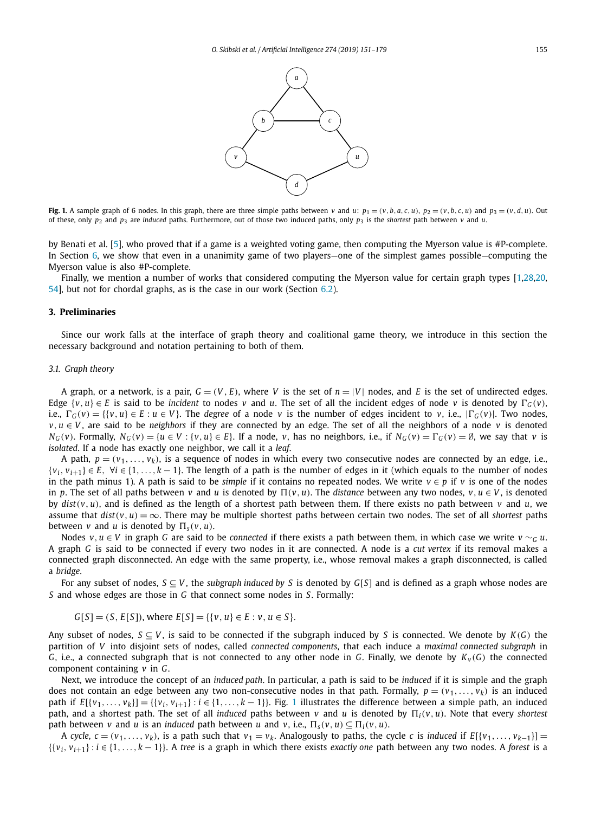

<span id="page-4-0"></span>Fig. 1. A sample graph of 6 nodes. In this graph, there are three simple paths between v and u:  $p_1 = (v, b, a, c, u)$ ,  $p_2 = (v, b, c, u)$  and  $p_3 = (v, d, u)$ . Out of these, only  $p_2$  and  $p_3$  are *induced* paths. Furthermore, out of those two induced paths, only  $p_3$  is the *shortest* path between *v* and *u*.

by Benati et al. [\[5\]](#page-27-0), who proved that if a game is a weighted voting game, then computing the Myerson value is #P-complete. In Section [6,](#page-16-0) we show that even in a unanimity game of two players—one of the simplest games possible—computing the Myerson value is also #P-complete.

Finally, we mention a number of works that considered computing the Myerson value for certain graph types [\[1,28,20,](#page-27-0) [54\]](#page-28-0), but not for chordal graphs, as is the case in our work (Section [6.2\)](#page-20-0).

#### **3. Preliminaries**

Since our work falls at the interface of graph theory and coalitional game theory, we introduce in this section the necessary background and notation pertaining to both of them.

### *3.1. Graph theory*

A graph, or a network, is a pair,  $G = (V, E)$ , where V is the set of  $n = |V|$  nodes, and E is the set of undirected edges. Edge  $\{v, u\} \in E$  is said to be *incident* to nodes *v* and *u*. The set of all the incident edges of node *v* is denoted by  $\Gamma_G(v)$ , i.e.,  $\Gamma_G(v) = \{ \{v, u\} \in E : u \in V \}$ . The degree of a node v is the number of edges incident to v, i.e.,  $|\Gamma_G(v)|$ . Two nodes, *v*,  $u \in V$ , are said to be *neighbors* if they are connected by an edge. The set of all the neighbors of a node *v* is denoted  $N_G(v)$ . Formally,  $N_G(v) = \{u \in V : \{v, u\} \in E\}$ . If a node, v, has no neighbors, i.e., if  $N_G(v) = \Gamma_G(v) = \emptyset$ , we say that v is *isolated*. If a node has exactly one neighbor, we call it a *leaf*.

A path,  $p = (v_1, \ldots, v_k)$ , is a sequence of nodes in which every two consecutive nodes are connected by an edge, i.e.,  $\{v_i, v_{i+1}\} \in E$ ,  $\forall i \in \{1, ..., k-1\}$ . The length of a path is the number of edges in it (which equals to the number of nodes in the path minus 1). A path is said to be *simple* if it contains no repeated nodes. We write  $v \in p$  if *v* is one of the nodes in *p*. The set of all paths between *v* and *u* is denoted by  $\Pi(v, u)$ . The *distance* between any two nodes,  $v, u \in V$ , is denoted by  $dist(v, u)$ , and is defined as the length of a shortest path between them. If there exists no path between  $v$  and  $u$ , we assume that  $dist(v, u) = \infty$ . There may be multiple shortest paths between certain two nodes. The set of all *shortest* paths between *v* and *u* is denoted by  $\Pi_s(v, u)$ .

Nodes  $v, u \in V$  in graph *G* are said to be *connected* if there exists a path between them, in which case we write  $v \sim_G u$ . A graph *G* is said to be connected if every two nodes in it are connected. A node is a *cut vertex* if its removal makes a connected graph disconnected. An edge with the same property, i.e., whose removal makes a graph disconnected, is called a *bridge*.

For any subset of nodes, *S* ⊆ *V* , the *subgraph induced by S* is denoted by *G*[*S*] and is defined as a graph whose nodes are *S* and whose edges are those in *G* that connect some nodes in *S*. Formally:

 $G[S] = (S, E[S])$ , where  $E[S] = \{ \{v, u\} \in E : v, u \in S \}.$ 

Any subset of nodes,  $S \subseteq V$ , is said to be connected if the subgraph induced by *S* is connected. We denote by  $K(G)$  the partition of *V* into disjoint sets of nodes, called *connected components*, that each induce a *maximal connected subgraph* in *G*, i.e., a connected subgraph that is not connected to any other node in *G*. Finally, we denote by  $K_v(G)$  the connected component containing *v* in *G*.

Next, we introduce the concept of an *induced path*. In particular, a path is said to be *induced* if it is simple and the graph does not contain an edge between any two non-consecutive nodes in that path. Formally,  $p = (v_1, \ldots, v_k)$  is an induced path if  $E[\{v_1,\ldots,v_k\}] = \{\{v_i,v_{i+1}\} : i \in \{1,\ldots,k-1\}\}\$ . Fig. 1 illustrates the difference between a simple path, an induced path, and a shortest path. The set of all *induced* paths between *v* and *u* is denoted by  $\Pi_i(v, u)$ . Note that every *shortest* path between *v* and *u* is an *induced* path between *u* and *v*, i.e.,  $\Pi_s(v, u) \subseteq \Pi_i(v, u)$ .

A cycle,  $c = (v_1, \ldots, v_k)$ , is a path such that  $v_1 = v_k$ . Analogously to paths, the cycle c is induced if  $E[\{v_1, \ldots, v_{k-1}\}]$ {{*vi, vi*+1} : *i* ∈ {1*,...,k* − 1}}. A *tree* is a graph in which there exists *exactly one* path between any two nodes. A *forest* is a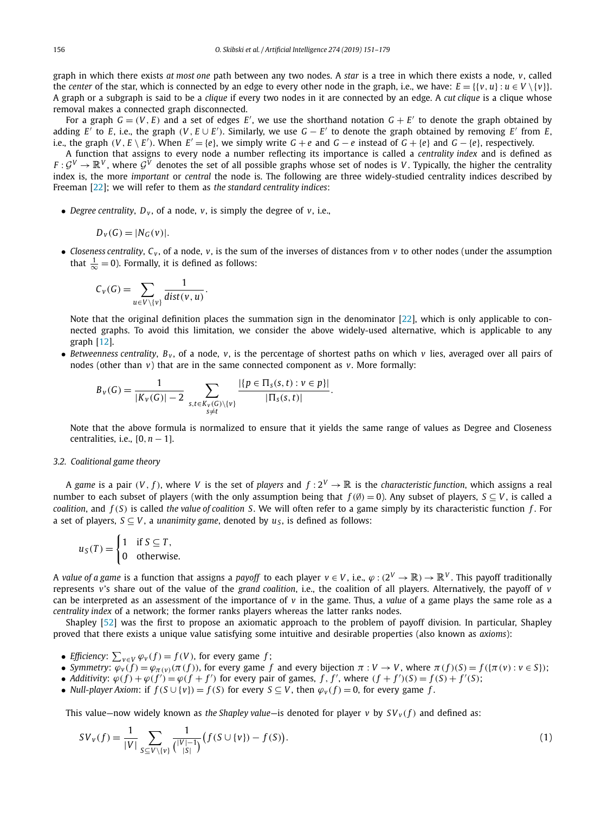graph in which there exists *at most one* path between any two nodes. A *star* is a tree in which there exists a node, *v*, called the *center* of the star, which is connected by an edge to every other node in the graph, i.e., we have:  $E = \{\{v, u\} : u \in V \setminus \{v\}\}.$ A graph or a subgraph is said to be a *clique* if every two nodes in it are connected by an edge. A *cut clique* is a clique whose removal makes a connected graph disconnected.

For a graph  $G = (V, E)$  and a set of edges E', we use the shorthand notation  $G + E'$  to denote the graph obtained by adding  $E'$  to  $E$ , i.e., the graph  $(V, E \cup E')$ . Similarly, we use  $G - E'$  to denote the graph obtained by removing  $E'$  from  $E$ , i.e., the graph  $(V, E \setminus E')$ . When  $E' = \{e\}$ , we simply write  $G + e$  and  $G - e$  instead of  $G + \{e\}$  and  $G - \{e\}$ , respectively.

A function that assigns to every node a number reflecting its importance is called a *centrality index* and is defined as  $F: \mathcal{G}^V \to \mathbb{R}^V$ , where  $\mathcal{G}^V$  denotes the set of all possible graphs whose set of nodes is *V*. Typically, the higher the centrality index is, the more *important* or *central* the node is. The following are three widely-studied centrality indices described by Freeman [\[22\]](#page-27-0); we will refer to them as *the standard centrality indices*:

• *Degree centrality*,  $D_v$ , of a node, *v*, is simply the degree of *v*, i.e.,

$$
D_{v}(G)=|N_{G}(v)|.
$$

• *Closeness centrality*,  $C_v$ , of a node,  $v$ , is the sum of the inverses of distances from  $v$  to other nodes (under the assumption that  $\frac{1}{\infty} = 0$ ). Formally, it is defined as follows:

$$
C_v(G) = \sum_{u \in V \setminus \{v\}} \frac{1}{dist(v, u)}.
$$

Note that the original definition places the summation sign in the denominator [\[22\]](#page-27-0), which is only applicable to connected graphs. To avoid this limitation, we consider the above widely-used alternative, which is applicable to any graph [\[12\]](#page-27-0).

• *Betweenness centrality*,  $B_y$ , of a node,  $v$ , is the percentage of shortest paths on which  $v$  lies, averaged over all pairs of nodes (other than *v*) that are in the same connected component as *v*. More formally:

$$
B_{\nu}(G) = \frac{1}{|K_{\nu}(G)| - 2} \sum_{\substack{s,t \in K_{\nu}(G) \setminus \{v\} \\ s \neq t}} \frac{|\{p \in \Pi_s(s,t) : v \in p\}|}{|\Pi_s(s,t)|}.
$$

Note that the above formula is normalized to ensure that it yields the same range of values as Degree and Closeness centralities, i.e., [0*,n* − 1].

#### *3.2. Coalitional game theory*

A game is a pair  $(V, f)$ , where V is the set of *players* and  $f: 2^V \to \mathbb{R}$  is the *characteristic function*, which assigns a real number to each subset of players (with the only assumption being that  $f(\emptyset) = 0$ ). Any subset of players,  $S \subset V$ , is called a *coalition*, and *f (S)* is called *the value of coalition S*. We will often refer to a game simply by its characteristic function *f* . For a set of players, *S* ⊂ *V*, a *unanimity game*, denoted by *u*<sub>*S*</sub>, is defined as follows:

$$
u_S(T) = \begin{cases} 1 & \text{if } S \subseteq T, \\ 0 & \text{otherwise.} \end{cases}
$$

A *value* of *a* game is a function that assigns a *payoff* to each player  $v \in V$ , i.e.,  $\varphi : (2^V \to \mathbb{R}) \to \mathbb{R}^V$ . This payoff traditionally represents *v*'s share out of the value of the *grand coalition*, i.e., the coalition of all players. Alternatively, the payoff of *v* can be interpreted as an assessment of the importance of  $v$  in the game. Thus, a *value* of a game plays the same role as a *centrality index* of a network; the former ranks players whereas the latter ranks nodes.

Shapley [\[52\]](#page-28-0) was the first to propose an axiomatic approach to the problem of payoff division. In particular, Shapley proved that there exists a unique value satisfying some intuitive and desirable properties (also known as *axioms*):

- *Efficiency*:  $\sum_{v \in V} \varphi_v(f) = f(V)$ , for every game *f*;
- Symmetry:  $\varphi_v(f) = \varphi_{\pi(v)}(\pi(f))$ , for every game f and every bijection  $\pi: V \to V$ , where  $\pi(f)(S) = f(\{\pi(v): v \in S\})$ ;
- Additivity:  $\varphi(f) + \varphi(f') = \varphi(f + f')$  for every pair of games, f, f', where  $(f + f')(S) = f(S) + f'(S)$ ;
- Null-player Axiom: if  $f(S \cup \{v\}) = f(S)$  for every  $S \subseteq V$ , then  $\varphi_v(f) = 0$ , for every game f.

This value—now widely known as *the Shapley value*—is denoted for player *v* by  $SV_v(f)$  and defined as:

$$
SV_{V}(f) = \frac{1}{|V|} \sum_{S \subseteq V \setminus \{v\}} \frac{1}{\binom{|V| - 1}{|S|}} \big(f(S \cup \{v\}) - f(S)\big). \tag{1}
$$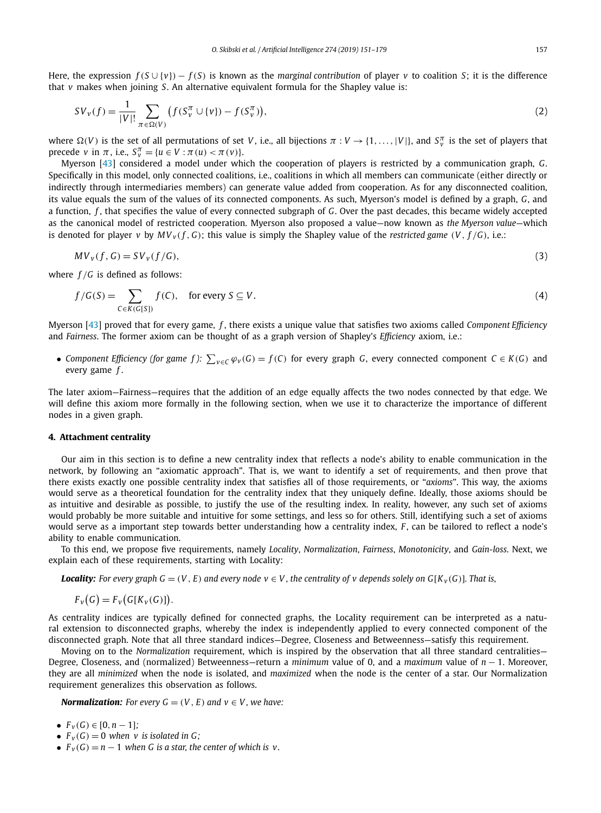<span id="page-6-0"></span>Here, the expression  $f(S \cup \{v\}) - f(S)$  is known as the *marginal contribution* of player *v* to coalition *S*; it is the difference that *v* makes when joining *S*. An alternative equivalent formula for the Shapley value is:

$$
SV_v(f) = \frac{1}{|V|!} \sum_{\pi \in \Omega(V)} \left( f(S_v^{\pi} \cup \{v\}) - f(S_v^{\pi}) \right),\tag{2}
$$

where  $\Omega(V)$  is the set of all permutations of set V, i.e., all bijections  $\pi: V \to \{1,\ldots,|V|\}$ , and  $S_v^{\pi}$  is the set of players that  $\text{precede } v \text{ in } \pi \text{, i.e., } S_v^{\pi} = \{u \in V : \pi(u) < \pi(v)\}.$ 

Myerson [\[43\]](#page-28-0) considered a model under which the cooperation of players is restricted by a communication graph, *G*. Specifically in this model, only connected coalitions, i.e., coalitions in which all members can communicate (either directly or indirectly through intermediaries members) can generate value added from cooperation. As for any disconnected coalition, its value equals the sum of the values of its connected components. As such, Myerson's model is defined by a graph, *G*, and a function, *f* , that specifies the value of every connected subgraph of *G*. Over the past decades, this became widely accepted as the canonical model of restricted cooperation. Myerson also proposed a value—now known as *the Myerson value*—which is denoted for player v by  $MV_v(f, G)$ ; this value is simply the Shapley value of the restricted game (V,  $f/G$ ), i.e.:

$$
MV_v(f, G) = SV_v(f/G),\tag{3}
$$

where *f /G* is defined as follows:

$$
f/G(S) = \sum_{C \in K(G[S])} f(C), \quad \text{for every } S \subseteq V. \tag{4}
$$

Myerson [\[43\]](#page-28-0) proved that for every game, *f* , there exists a unique value that satisfies two axioms called *Component Efficiency* and *Fairness*. The former axiom can be thought of as a graph version of Shapley's *Efficiency* axiom, i.e.:

• Component Efficiency (for game f):  $\sum_{v \in C} \varphi_v(G) = f(C)$  for every graph G, every connected component  $C \in K(G)$  and every game *f* .

The later axiom—Fairness—requires that the addition of an edge equally affects the two nodes connected by that edge. We will define this axiom more formally in the following section, when we use it to characterize the importance of different nodes in a given graph.

#### **4. Attachment centrality**

Our aim in this section is to define a new centrality index that reflects a node's ability to enable communication in the network, by following an "axiomatic approach". That is, we want to identify a set of requirements, and then prove that there exists exactly one possible centrality index that satisfies all of those requirements, or "*axioms*". This way, the axioms would serve as a theoretical foundation for the centrality index that they uniquely define. Ideally, those axioms should be as intuitive and desirable as possible, to justify the use of the resulting index. In reality, however, any such set of axioms would probably be more suitable and intuitive for some settings, and less so for others. Still, identifying such a set of axioms would serve as a important step towards better understanding how a centrality index, *F*, can be tailored to reflect a node's ability to enable communication.

To this end, we propose five requirements, namely *Locality*, *Normalization*, *Fairness*, *Monotonicity*, and *Gain-loss*. Next, we explain each of these requirements, starting with Locality:

**Locality:** For every graph  $G = (V, E)$  and every node  $v \in V$ , the centrality of v depends solely on  $G[K_v(G)]$ . That is,

 $F_v(G) = F_v(G[K_v(G)]).$ 

As centrality indices are typically defined for connected graphs, the Locality requirement can be interpreted as a natural extension to disconnected graphs, whereby the index is independently applied to every connected component of the disconnected graph. Note that all three standard indices—Degree, Closeness and Betweenness—satisfy this requirement.

Moving on to the *Normalization* requirement, which is inspired by the observation that all three standard centralities— Degree, Closeness, and (normalized) Betweenness—return a *minimum* value of 0, and a *maximum* value of *n* − 1. Moreover, they are all *minimized* when the node is isolated, and *maximized* when the node is the center of a star. Our Normalization requirement generalizes this observation as follows.

*Normalization: For every*  $G = (V, E)$  *and*  $v \in V$ *, we have:* 

- $F_v(G) \in [0, n-1]$ ;
- $F_v(G) = 0$  when v is isolated in G;
- $F_v(G) = n 1$  when *G* is *a* star, the center of which is *v*.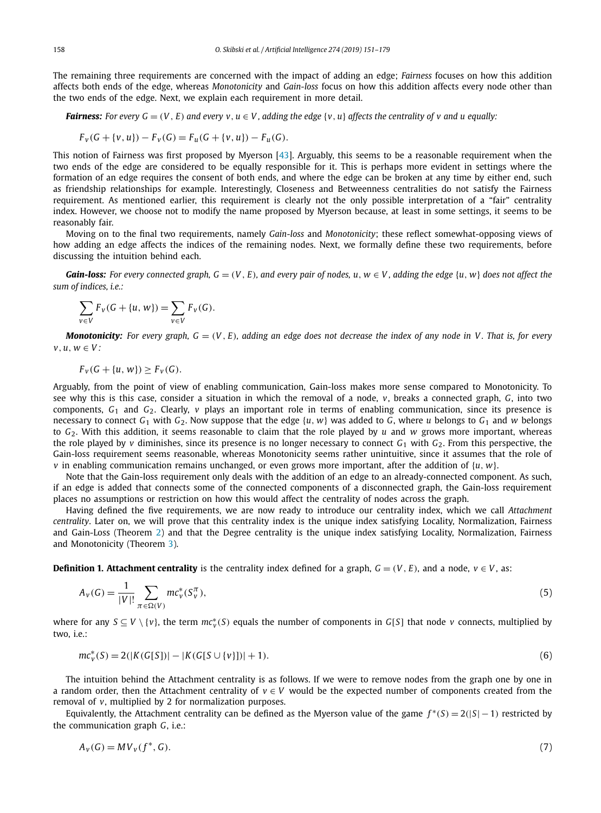<span id="page-7-0"></span>The remaining three requirements are concerned with the impact of adding an edge; *Fairness* focuses on how this addition affects both ends of the edge, whereas *Monotonicity* and *Gain-loss* focus on how this addition affects every node other than the two ends of the edge. Next, we explain each requirement in more detail.

**Fairness:** For every  $G = (V, E)$  and every  $v, u \in V$ , adding the edge  $\{v, u\}$  affects the centrality of v and u equally:

$$
F_v(G + \{v, u\}) - F_v(G) = F_u(G + \{v, u\}) - F_u(G).
$$

This notion of Fairness was first proposed by Myerson [\[43\]](#page-28-0). Arguably, this seems to be a reasonable requirement when the two ends of the edge are considered to be equally responsible for it. This is perhaps more evident in settings where the formation of an edge requires the consent of both ends, and where the edge can be broken at any time by either end, such as friendship relationships for example. Interestingly, Closeness and Betweenness centralities do not satisfy the Fairness requirement. As mentioned earlier, this requirement is clearly not the only possible interpretation of a "fair" centrality index. However, we choose not to modify the name proposed by Myerson because, at least in some settings, it seems to be reasonably fair.

Moving on to the final two requirements, namely *Gain-loss* and *Monotonicity*; these reflect somewhat-opposing views of how adding an edge affects the indices of the remaining nodes. Next, we formally define these two requirements, before discussing the intuition behind each.

**Gain-loss:** For every connected graph,  $G = (V, E)$ , and every pair of nodes, u,  $w \in V$ , adding the edge  $\{u, w\}$  does not affect the *sum of indices, i.e.:*

$$
\sum_{v \in V} F_v(G + \{u, w\}) = \sum_{v \in V} F_v(G).
$$

**Monotonicity:** For every graph,  $G = (V, E)$ , adding an edge does not decrease the index of any node in V. That is, for every *v, u, w* ∈ *V :*

$$
F_v(G + {u, w}) \geq F_v(G).
$$

Arguably, from the point of view of enabling communication, Gain-loss makes more sense compared to Monotonicity. To see why this is this case, consider a situation in which the removal of a node, *v*, breaks a connected graph, *G*, into two components, *G*<sup>1</sup> and *G*2. Clearly, *v* plays an important role in terms of enabling communication, since its presence is necessary to connect  $G_1$  with  $G_2$ . Now suppose that the edge  $\{u, w\}$  was added to  $G$ , where  $u$  belongs to  $G_1$  and  $w$  belongs to *G*2. With this addition, it seems reasonable to claim that the role played by *u* and *w* grows more important, whereas the role played by *v* diminishes, since its presence is no longer necessary to connect  $G_1$  with  $G_2$ . From this perspective, the Gain-loss requirement seems reasonable, whereas Monotonicity seems rather unintuitive, since it assumes that the role of *v* in enabling communication remains unchanged, or even grows more important, after the addition of {*u, w*}.

Note that the Gain-loss requirement only deals with the addition of an edge to an already-connected component. As such, if an edge is added that connects some of the connected components of a disconnected graph, the Gain-loss requirement places no assumptions or restriction on how this would affect the centrality of nodes across the graph.

Having defined the five requirements, we are now ready to introduce our centrality index, which we call *Attachment centrality*. Later on, we will prove that this centrality index is the unique index satisfying Locality, Normalization, Fairness and Gain-Loss (Theorem [2\)](#page-9-0) and that the Degree centrality is the unique index satisfying Locality, Normalization, Fairness and Monotonicity (Theorem [3\)](#page-10-0).

**Definition 1. Attachment centrality** is the centrality index defined for a graph,  $G = (V, E)$ , and a node,  $v \in V$ , as:

$$
A_V(G) = \frac{1}{|V|!} \sum_{\pi \in \Omega(V)} m c_V^*(S_V^{\pi}),
$$
\n(5)

where for any  $S \subseteq V \setminus \{v\}$ , the term  $mc_v^*(S)$  equals the number of components in  $G[S]$  that node *v* connects, multiplied by two, i.e.:

$$
mc_v^*(S) = 2(|K(G[S])| - |K(G[S \cup \{v\}])| + 1).
$$
\n(6)

The intuition behind the Attachment centrality is as follows. If we were to remove nodes from the graph one by one in a random order, then the Attachment centrality of *v* ∈ *V* would be the expected number of components created from the removal of *v*, multiplied by 2 for normalization purposes.

Equivalently, the Attachment centrality can be defined as the Myerson value of the game  $f^*(S) = 2(|S| - 1)$  restricted by the communication graph *G*, i.e.:

$$
A_v(G) = MV_v(f^*,G). \tag{7}
$$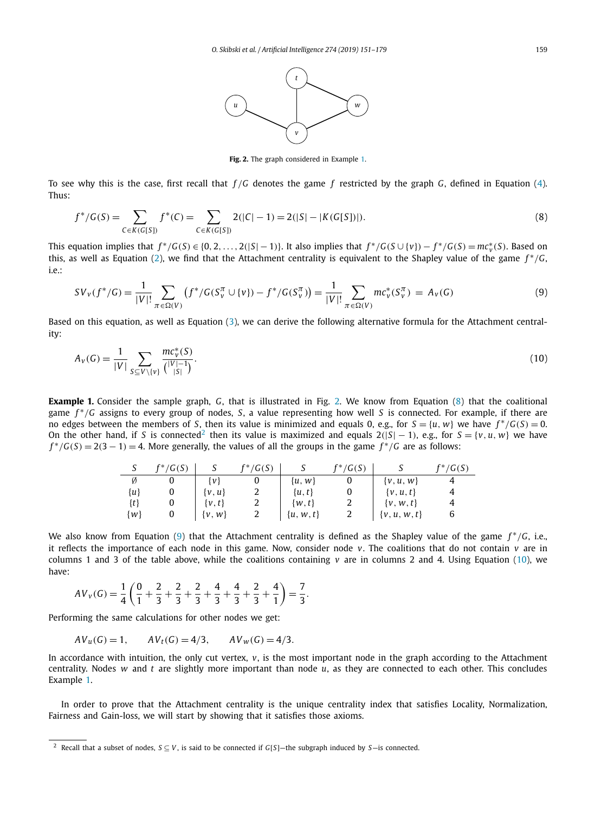

**Fig. 2.** The graph considered in Example 1.

<span id="page-8-0"></span>To see why this is the case, first recall that *f /G* denotes the game *f* restricted by the graph *G*, defined in Equation [\(4\)](#page-6-0). Thus:

$$
f^*/G(S) = \sum_{C \in K(G[S])} f^*(C) = \sum_{C \in K(G[S])} 2(|C|-1) = 2(|S|-|K(G[S])|).
$$
\n(8)

This equation implies that  $f^*/G(S) \in \{0, 2, ..., 2(|S|-1)\}\)$ . It also implies that  $f^*/G(S \cup \{v\}) - f^*/G(S) = mc^*_v(S)$ . Based on this, as well as Equation [\(2\)](#page-6-0), we find that the Attachment centrality is equivalent to the Shapley value of the game *f* <sup>∗</sup>*/G*, i.e.:

$$
SV_v(f^*/G) = \frac{1}{|V|!} \sum_{\pi \in \Omega(V)} \left( f^*/G(S_v^{\pi} \cup \{v\}) - f^*/G(S_v^{\pi}) \right) = \frac{1}{|V|!} \sum_{\pi \in \Omega(V)} mc_v^*(S_v^{\pi}) = A_v(G)
$$
(9)

Based on this equation, as well as Equation [\(3\)](#page-6-0), we can derive the following alternative formula for the Attachment centrality:

$$
A_V(G) = \frac{1}{|V|} \sum_{S \subseteq V \setminus \{v\}} \frac{mc_V^*(S)}{\binom{|V| - 1}{|S|}}.
$$
\n(10)

**Example 1.** Consider the sample graph, *G*, that is illustrated in Fig. 2. We know from Equation (8) that the coalitional game *f* <sup>∗</sup>*/G* assigns to every group of nodes, *S*, a value representing how well *S* is connected. For example, if there are no edges between the members of *S*, then its value is minimized and equals 0, e.g., for  $S = \{u, w\}$  we have  $f^*/G(S) = 0$ . On the other hand, if *S* is connected<sup>2</sup> then its value is maximized and equals  $2(|S| - 1)$ , e.g., for  $S = \{v, u, w\}$  we have  $f^*/(G(S) = 2(3 - 1) = 4$ . More generally, the values of all the groups in the game  $f^*/(G(S) = 2(3 - 1))$ 

| ر       | $f^*/G(S)$ |            | $f^*/G(S)$ |               | $f^*/G(S)$ |                  | $f^*/G(S)$ |
|---------|------------|------------|------------|---------------|------------|------------------|------------|
| Ø       |            | łνł        |            | $\{u, w\}$    |            | $\{v, u, w\}$    |            |
| $\{u\}$ |            | $\{v, u\}$ | 2          | $\{u, t\}$    | 0          | $\{v, u, t\}$    |            |
| $\{t\}$ |            | $\{v, t\}$ | 2          | $\{w, t\}$    | 2          | $\{v, w, t\}$    |            |
| $\{w\}$ |            | $\{v, w\}$ |            | $\{u, w, t\}$ |            | $\{v, u, w, t\}$ | b          |

We also know from Equation (9) that the Attachment centrality is defined as the Shapley value of the game *f* <sup>∗</sup>*/G*, i.e., it reflects the importance of each node in this game. Now, consider node *v*. The coalitions that do not contain *v* are in columns 1 and 3 of the table above, while the coalitions containing  $v$  are in columns 2 and 4. Using Equation (10), we have:

$$
AV_v(G) = \frac{1}{4} \left( \frac{0}{1} + \frac{2}{3} + \frac{2}{3} + \frac{2}{3} + \frac{4}{3} + \frac{4}{3} + \frac{2}{3} + \frac{4}{1} \right) = \frac{7}{3}.
$$

Performing the same calculations for other nodes we get:

$$
AV_u(G) = 1
$$
,  $AV_t(G) = 4/3$ ,  $AV_w(G) = 4/3$ .

In accordance with intuition, the only cut vertex,  $v$ , is the most important node in the graph according to the Attachment centrality. Nodes *w* and *t* are slightly more important than node *u*, as they are connected to each other. This concludes Example 1.

In order to prove that the Attachment centrality is the unique centrality index that satisfies Locality, Normalization, Fairness and Gain-loss, we will start by showing that it satisfies those axioms.

<sup>2</sup> Recall that a subset of nodes, *S* ⊆ *V* , is said to be connected if *G*[*S*]—the subgraph induced by *S*—is connected.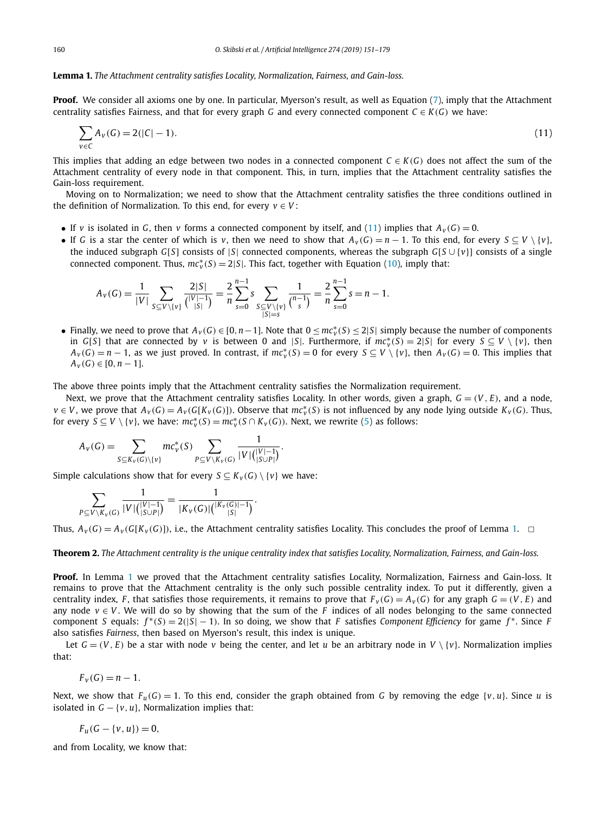#### <span id="page-9-0"></span>**Lemma 1.** *The Attachment centrality satisfies Locality, Normalization, Fairness, and Gain-loss.*

**Proof.** We consider all axioms one by one. In particular, Myerson's result, as well as Equation [\(7\)](#page-7-0), imply that the Attachment centrality satisfies Fairness, and that for every graph *G* and every connected component  $C \in K(G)$  we have:

$$
\sum_{v \in C} A_v(G) = 2(|C| - 1). \tag{11}
$$

This implies that adding an edge between two nodes in a connected component  $C \in K(G)$  does not affect the sum of the Attachment centrality of every node in that component. This, in turn, implies that the Attachment centrality satisfies the Gain-loss requirement.

Moving on to Normalization; we need to show that the Attachment centrality satisfies the three conditions outlined in the definition of Normalization. To this end, for every  $v \in V$ :

- If *v* is isolated in *G*, then *v* forms a connected component by itself, and (11) implies that  $A_V(G) = 0$ .
- If *G* is a star the center of which is *v*, then we need to show that  $A_v(G) = n 1$ . To this end, for every  $S \subseteq V \setminus \{v\}$ , the induced subgraph *G*[*S*] consists of |*S*| connected components, whereas the subgraph *G*[*S* ∪ {*v*}] consists of a single connected component. Thus,  $mc_v^*(S) = 2|S|$ . This fact, together with Equation [\(10\)](#page-8-0), imply that:

$$
A_V(G) = \frac{1}{|V|} \sum_{S \subseteq V \setminus \{v\}} \frac{2|S|}{\binom{|V|-1}{|S|}} = \frac{2}{n} \sum_{s=0}^{n-1} s \sum_{\substack{S \subseteq V \setminus \{v\}}{S|=s}} \frac{1}{\binom{n-1}{s}} = \frac{2}{n} \sum_{s=0}^{n-1} s = n-1.
$$

• Finally, we need to prove that  $A_v(G) \in [0, n-1]$ . Note that  $0 \leq mc_v^*(S) \leq 2|S|$  simply because the number of components in *G*[*S*] that are connected by *v* is between 0 and |*S*|. Furthermore, if  $mc_v^*(S) = 2|S|$  for every  $S \subseteq V \setminus \{v\}$ , then  $A_v(G) = n - 1$ , as we just proved. In contrast, if  $mc_v^*(S) = 0$  for every  $S \subseteq V \setminus \{v\}$ , then  $A_v(G) = 0$ . This implies that  $A_v(G) \in [0, n-1].$ 

The above three points imply that the Attachment centrality satisfies the Normalization requirement.

Next, we prove that the Attachment centrality satisfies Locality. In other words, given a graph,  $G = (V, E)$ , and a node,  $v \in V$ , we prove that  $A_v(G) = A_v(G[K_v(G)])$ . Observe that  $mc_v^*(S)$  is not influenced by any node lying outside  $K_v(G)$ . Thus, for every  $S \subseteq V \setminus \{v\}$ , we have:  $mc_v^*(S) = mc_v^*(S \cap K_v(G))$ . Next, we rewrite [\(5\)](#page-7-0) as follows:

$$
A_V(G) = \sum_{S \subseteq K_V(G) \setminus \{v\}} mc_V^*(S) \sum_{P \subseteq V \setminus K_V(G)} \frac{1}{|V| \binom{|V|-1}{|S \cup P|}}.
$$

Simple calculations show that for every  $S \subseteq K_v(G) \setminus \{v\}$  we have:

$$
\sum_{P \subseteq V \setminus K_V(G)} \frac{1}{|V| {|\langle V|-1 \rangle \choose |S \cup P|}} = \frac{1}{|K_V(G)| {|\langle K_V(G)|-1 \rangle \choose |S|}}.
$$

Thus,  $A_V(G) = A_V(G[K_V(G)])$ , i.e., the Attachment centrality satisfies Locality. This concludes the proof of Lemma 1.  $\Box$ 

# Theorem 2. The Attachment centrality is the unique centrality index that satisfies Locality, Normalization, Fairness, and Gain-loss.

**Proof.** In Lemma 1 we proved that the Attachment centrality satisfies Locality, Normalization, Fairness and Gain-loss. It remains to prove that the Attachment centrality is the only such possible centrality index. To put it differently, given a centrality index, F, that satisfies those requirements, it remains to prove that  $F_v(G) = A_v(G)$  for any graph  $G = (V, E)$  and any node  $v \in V$ . We will do so by showing that the sum of the *F* indices of all nodes belonging to the same connected component *S* equals:  $f^*(S) = 2(|S| - 1)$ . In so doing, we show that *F* satisfies *Component Efficiency* for game  $f^*$ . Since *F* also satisfies *Fairness*, then based on Myerson's result, this index is unique.

Let  $G = (V, E)$  be a star with node *v* being the center, and let *u* be an arbitrary node in  $V \setminus \{v\}$ . Normalization implies that:

$$
F_v(G) = n - 1.
$$

Next, we show that  $F_u(G) = 1$ . To this end, consider the graph obtained from G by removing the edge  $\{v, u\}$ . Since *u* is isolated in  $G - \{v, u\}$ , Normalization implies that:

$$
F_u(G - \{v, u\}) = 0,
$$

and from Locality, we know that: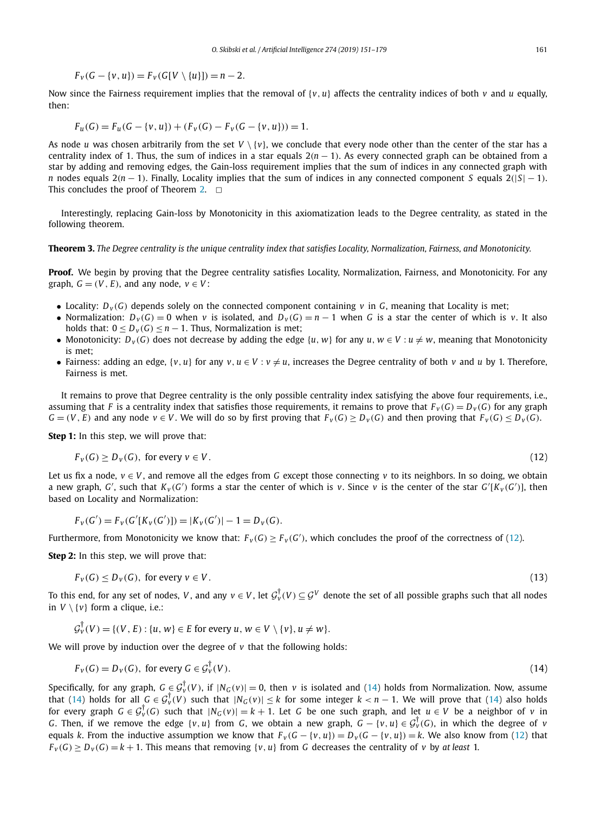$$
F_v(G - \{v, u\}) = F_v(G[V \setminus \{u\}]) = n - 2.
$$

<span id="page-10-0"></span>Now since the Fairness requirement implies that the removal of {*v, u*} affects the centrality indices of both *v* and *u* equally, then:

$$
F_u(G) = F_u(G - \{v, u\}) + (F_v(G) - F_v(G - \{v, u\})) = 1.
$$

As node *u* was chosen arbitrarily from the set  $V \setminus \{v\}$ , we conclude that every node other than the center of the star has a centrality index of 1. Thus, the sum of indices in a star equals 2*(n* − 1*)*. As every connected graph can be obtained from a star by adding and removing edges, the Gain-loss requirement implies that the sum of indices in any connected graph with *n* nodes equals 2*(n* − 1). Finally, Locality implies that the sum of indices in any connected component *S* equals 2(|*S*| − 1). This concludes the proof of Theorem [2.](#page-9-0)  $\Box$ 

Interestingly, replacing Gain-loss by Monotonicity in this axiomatization leads to the Degree centrality, as stated in the following theorem.

Theorem 3. The Degree centrality is the unique centrality index that satisfies Locality, Normalization, Fairness, and Monotonicity.

Proof. We begin by proving that the Degree centrality satisfies Locality, Normalization, Fairness, and Monotonicity. For any graph,  $G = (V, E)$ , and any node,  $v \in V$ :

- Locality:  $D_v(G)$  depends solely on the connected component containing *v* in *G*, meaning that Locality is met:
- Normalization:  $D_v(G) = 0$  when *v* is isolated, and  $D_v(G) = n 1$  when G is a star the center of which is *v*. It also holds that:  $0 < D_v(G) < n - 1$ . Thus, Normalization is met;
- Monotonicity:  $D_v(G)$  does not decrease by adding the edge  $\{u, w\}$  for any  $u, w \in V : u \neq w$ , meaning that Monotonicity is met;
- Fairness: adding an edge,  $\{v, u\}$  for any  $v, u \in V : v \neq u$ , increases the Degree centrality of both *v* and *u* by 1. Therefore, Fairness is met.

It remains to prove that Degree centrality is the only possible centrality index satisfying the above four requirements, i.e., assuming that *F* is a centrality index that satisfies those requirements, it remains to prove that  $F_v(G) = D_v(G)$  for any graph  $G = (V, E)$  and any node  $v \in V$ . We will do so by first proving that  $F_V(G) \ge D_V(G)$  and then proving that  $F_V(G) \le D_V(G)$ .

**Step 1:** In this step, we will prove that:

$$
F_v(G) \ge D_v(G), \text{ for every } v \in V. \tag{12}
$$

Let us fix a node,  $v \in V$ , and remove all the edges from G except those connecting v to its neighbors. In so doing, we obtain a new graph, G', such that  $K_v(G')$  forms a star the center of which is v. Since v is the center of the star  $G'[K_v(G')]$ , then based on Locality and Normalization:

$$
F_v(G') = F_v(G'[K_v(G')]) = |K_v(G')| - 1 = D_v(G).
$$

Furthermore, from Monotonicity we know that:  $F_v(G) \geq F_v(G')$ , which concludes the proof of the correctness of (12).

**Step 2:** In this step, we will prove that:

$$
F_v(G) \le D_v(G), \text{ for every } v \in V. \tag{13}
$$

To this end, for any set of nodes, *V*, and any  $v \in V$ , let  $\mathcal{G}_v^{\dagger}(V) \subseteq \mathcal{G}^V$  denote the set of all possible graphs such that all nodes in  $V \setminus \{v\}$  form a clique, i.e.:

$$
\mathcal{G}_{\nu}^{\dagger}(V) = \{ (V, E) : \{u, w\} \in E \text{ for every } u, w \in V \setminus \{v\}, u \neq w \}.
$$

We will prove by induction over the degree of *v* that the following holds:

$$
F_v(G) = D_v(G), \text{ for every } G \in \mathcal{G}_v^{\dagger}(V). \tag{14}
$$

Specifically, for any graph,  $G \in G_V^{\dagger}(V)$ , if  $|N_G(v)| = 0$ , then  $v$  is isolated and (14) holds from Normalization. Now, assume that (14) holds for all  $G \in \mathcal{G}_{\nu}^{\dagger}(V)$  such that  $|N_G(v)| \leq k$  for some integer  $k < n - 1$ . We will prove that (14) also holds for every graph  $G \in \mathcal{G}_{\nu}^{\dagger}(G)$  such that  $|N_G(v)| = k + 1$ . Let *G* be one such graph, and let  $u \in V$  be a neighbor of *v* in *G*. Then, if we remove the edge  $\{v, u\}$  from *G*, we obtain a new graph,  $G - \{v, u\} \in \mathcal{G}_v^{\dagger}(G)$ , in which the degree of *v* equals k. From the inductive assumption we know that  $F_v(G - \{v, u\}) = D_v(G - \{v, u\}) = k$ . We also know from (12) that  $F_v(G) > D_v(G) = k + 1$ . This means that removing  $\{v, u\}$  from G decreases the centrality of v by at least 1.

$$
^{(13)}
$$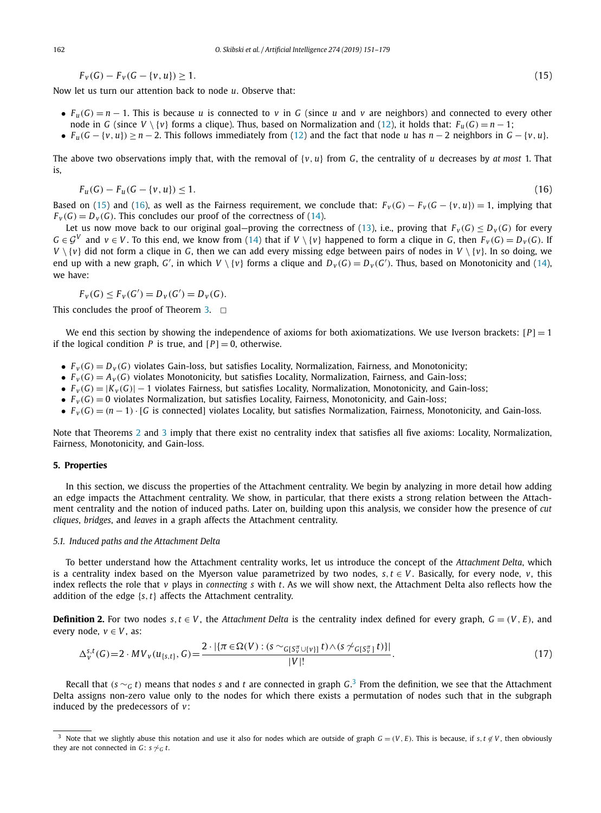$$
F_v(G) - F_v(G - \{v, u\}) \ge 1. \tag{15}
$$

<span id="page-11-0"></span>Now let us turn our attention back to node *u*. Observe that:

- $F_u(G) = n 1$ . This is because *u* is connected to *v* in *G* (since *u* and *v* are neighbors) and connected to every other node in *G* (since *V* \ {*v*} forms a clique). Thus, based on Normalization and [\(12\)](#page-10-0), it holds that:  $F_u(G) = n - 1$ ;
- $F_u(G \{v, u\}) \ge n 2$ . This follows immediately from [\(12\)](#page-10-0) and the fact that node *u* has  $n 2$  neighbors in  $G \{v, u\}$ .

The above two observations imply that, with the removal of  $\{v, u\}$  from G, the centrality of *u* decreases by *at most* 1. That is,

$$
F_u(G) - F_u(G - \{v, u\}) \le 1. \tag{16}
$$

Based on (15) and (16), as well as the Fairness requirement, we conclude that:  $F_v(G) - F_v(G - \{v, u\}) = 1$ , implying that  $F_v(G) = D_v(G)$ . This concludes our proof of the correctness of [\(14\)](#page-10-0).

Let us now move back to our original goal—proving the correctness of [\(13\)](#page-10-0), i.e., proving that  $F_v(G) \leq D_v(G)$  for every  $G \in \mathcal{G}^V$  and  $v \in V$ . To this end, we know from [\(14\)](#page-10-0) that if  $V \setminus \{v\}$  happened to form a clique in G, then  $F_V(G) = D_V(G)$ . If  $V \setminus \{v\}$  did not form a clique in *G*, then we can add every missing edge between pairs of nodes in  $V \setminus \{v\}$ . In so doing, we end up with a new graph, G', in which  $V \setminus \{v\}$  forms a clique and  $D_v(G) = D_v(G')$ . Thus, based on Monotonicity and [\(14\)](#page-10-0), we have:

$$
F_v(G) \le F_v(G') = D_v(G') = D_v(G).
$$

This concludes the proof of Theorem [3.](#page-10-0)  $\Box$ 

We end this section by showing the independence of axioms for both axiomatizations. We use Iverson brackets:  $[P] = 1$ if the logical condition *P* is true, and  $[P] = 0$ , otherwise.

- $\bullet$   $F_v(G) = D_v(G)$  violates Gain-loss, but satisfies Locality, Normalization, Fairness, and Monotonicity;
- $\bullet$   $F_v(G) = A_v(G)$  violates Monotonicity, but satisfies Locality, Normalization, Fairness, and Gain-loss;
- $F_v(G) = |K_v(G)| 1$  violates Fairness, but satisfies Locality, Normalization, Monotonicity, and Gain-loss;
- $\bullet$   $F_v(G) = 0$  violates Normalization, but satisfies Locality, Fairness, Monotonicity, and Gain-loss;
- $F_v(G) = (n-1) \cdot [G$  is connected] violates Locality, but satisfies Normalization, Fairness, Monotonicity, and Gain-loss.

Note that Theorems [2](#page-9-0) and [3](#page-10-0) imply that there exist no centrality index that satisfies all five axioms: Locality, Normalization, Fairness, Monotonicity, and Gain-loss.

### **5. Properties**

In this section, we discuss the properties of the Attachment centrality. We begin by analyzing in more detail how adding an edge impacts the Attachment centrality. We show, in particular, that there exists a strong relation between the Attachment centrality and the notion of induced paths. Later on, building upon this analysis, we consider how the presence of *cut cliques*, *bridges*, and *leaves* in a graph affects the Attachment centrality.

#### *5.1. Induced paths and the Attachment Delta*

To better understand how the Attachment centrality works, let us introduce the concept of the *Attachment Delta*, which is a centrality index based on the Myerson value parametrized by two nodes,  $s, t \in V$ . Basically, for every node, *v*, this index reflects the role that *v* plays in *connecting s* with *t*. As we will show next, the Attachment Delta also reflects how the addition of the edge {*s,t*} affects the Attachment centrality.

**Definition 2.** For two nodes  $s, t \in V$ , the *Attachment Delta* is the centrality index defined for every graph,  $G = (V, E)$ , and every node,  $v \in V$ , as:

$$
\Delta_{v}^{s,t}(G) = 2 \cdot MV_{v}(u_{\{s,t\}},G) = \frac{2 \cdot |\{\pi \in \Omega(V) : (s \sim_{G[S_{v}^{\pi} \cup \{v\}]} t) \wedge (s \not\sim_{G[S_{v}^{\pi}]} t)\}|}{|V|!}.
$$
\n(17)

Recall that *(s* ∼*<sup>G</sup> t)* means that nodes *s* and *t* are connected in graph *G*. <sup>3</sup> From the definition, we see that the Attachment Delta assigns non-zero value only to the nodes for which there exists a permutation of nodes such that in the subgraph induced by the predecessors of *v*:

Note that we slightly abuse this notation and use it also for nodes which are outside of graph  $G = (V, E)$ . This is because, if  $s, t \notin V$ , then obviously they are not connected in *G*:  $s \sim G$  *t*.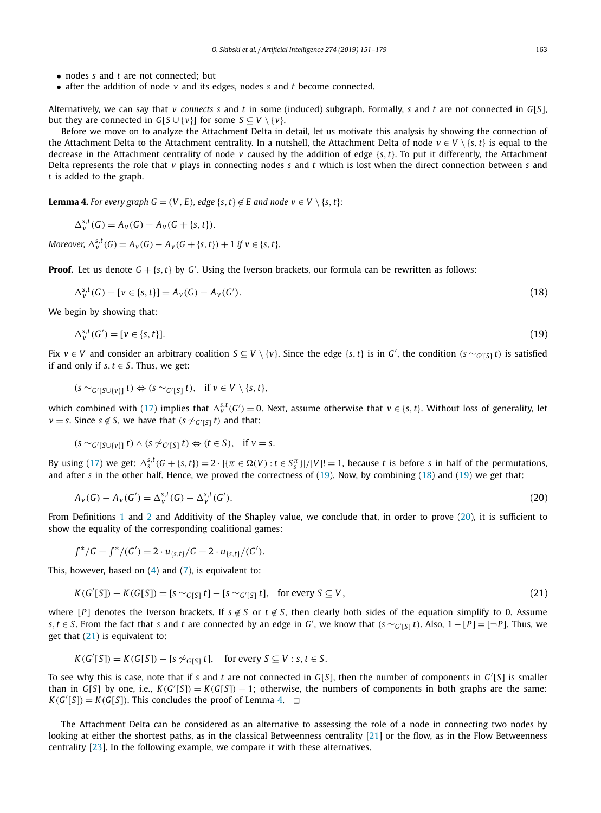- <span id="page-12-0"></span>• nodes *s* and *t* are not connected; but
- after the addition of node *v* and its edges, nodes *s* and *t* become connected.

Alternatively, we can say that *v connects s* and *t* in some (induced) subgraph. Formally, *s* and *t* are not connected in *G*[*S*], but they are connected in *G*[*S* ∪ {*v*}] for some *S* ⊂ *V* \ {*v*}.

Before we move on to analyze the Attachment Delta in detail, let us motivate this analysis by showing the connection of the Attachment Delta to the Attachment centrality. In a nutshell, the Attachment Delta of node  $v \in V \setminus \{s, t\}$  is equal to the decrease in the Attachment centrality of node *v* caused by the addition of edge {*s,t*}. To put it differently, the Attachment Delta represents the role that *v* plays in connecting nodes *s* and *t* which is lost when the direct connection between *s* and *t* is added to the graph.

**Lemma 4.** For every graph  $G = (V, E)$ , edge  $\{s, t\} \notin E$  and node  $v \in V \setminus \{s, t\}$ :

$$
\Delta_{\nu}^{s,t}(G) = A_{\nu}(G) - A_{\nu}(G + \{s,t\}).
$$

Moreover,  $\Delta_{v}^{S,t}(G) = A_{v}(G) - A_{v}(G + \{s,t\}) + 1$  if  $v \in \{s,t\}$ .

**Proof.** Let us denote  $G + \{s, t\}$  by  $G'$ . Using the Iverson brackets, our formula can be rewritten as follows:

$$
\Delta_{\nu}^{s,t}(G) - [\nu \in \{s, t\}] = A_{\nu}(G) - A_{\nu}(G'). \tag{18}
$$

We begin by showing that:

$$
\Delta_{\nu}^{s,t}(G') = [\nu \in \{s, t\}]. \tag{19}
$$

Fix  $v \in V$  and consider an arbitrary coalition  $S \subseteq V \setminus \{v\}$ . Since the edge  $\{s, t\}$  is in  $G'$ , the condition  $(s \sim_{G'[S]} t)$  is satisfied if and only if  $s, t \in S$ . Thus, we get:

$$
(s \sim_{G'[S\cup \{v\}]} t) \Leftrightarrow (s \sim_{G'[S]} t), \text{ if } v \in V \setminus \{s, t\},
$$

which combined with [\(17\)](#page-11-0) implies that  $\Delta_{\nu}^{s,t}(G')=0$ . Next, assume otherwise that  $\nu\in\{s,t\}$ . Without loss of generality, let *v* = *s*. Since *s* ∉ *S*, we have that (*s*  $\sim$   $G$ <sup>*(*</sup>[*S*] *t*) and that:

$$
(s \sim_{G'[S \cup \{v\}]} t) \land (s \not\sim_{G'[S]} t) \Leftrightarrow (t \in S), \text{ if } v = s.
$$

By using [\(17\)](#page-11-0) we get:  $\Delta_s^{S,t}(G + \{s,t\}) = 2 \cdot |\{\pi \in \Omega(V) : t \in S_s^{\pi}\}|/|V|! = 1$ , because t is before s in half of the permutations, and after *s* in the other half. Hence, we proved the correctness of (19). Now, by combining (18) and (19) we get that:

$$
A_v(G) - A_v(G') = \Delta_v^{s,t}(G) - \Delta_v^{s,t}(G').
$$
\n(20)

From Definitions [1](#page-7-0) and [2](#page-11-0) and Additivity of the Shapley value, we conclude that, in order to prove (20), it is sufficient to show the equality of the corresponding coalitional games:

$$
f^*/G - f^*/(G') = 2 \cdot u_{\{s,t\}}/G - 2 \cdot u_{\{s,t\}}/(G').
$$

This, however, based on  $(4)$  and  $(7)$ , is equivalent to:

$$
K(G'[S]) - K(G[S]) = [s \sim_{G[S]} t] - [s \sim_{G'[S]} t], \text{ for every } S \subseteq V,
$$
\n
$$
(21)
$$

where  $[P]$  denotes the Iverson brackets. If  $s \notin S$  or  $t \notin S$ , then clearly both sides of the equation simplify to 0. Assume s,  $t \in S$ . From the fact that s and t are connected by an edge in G', we know that  $(s \sim_{G'[S]} t)$ . Also,  $1 - [P] = [\neg P]$ . Thus, we get that (21) is equivalent to:

$$
K(G'[S]) = K(G[S]) - [s \not\sim_{G[S]} t], \text{ for every } S \subseteq V : s, t \in S.
$$

To see why this is case, note that if *s* and *t* are not connected in  $G[S]$ , then the number of components in  $G'[S]$  is smaller than in  $G[S]$  by one, i.e.,  $K(G'[S]) = K(G[S]) - 1$ ; otherwise, the numbers of components in both graphs are the same:  $K(G'[S]) = K(G[S])$ . This concludes the proof of Lemma 4.  $\Box$ 

The Attachment Delta can be considered as an alternative to assessing the role of a node in connecting two nodes by looking at either the shortest paths, as in the classical Betweenness centrality [\[21\]](#page-27-0) or the flow, as in the Flow Betweenness centrality [\[23\]](#page-27-0). In the following example, we compare it with these alternatives.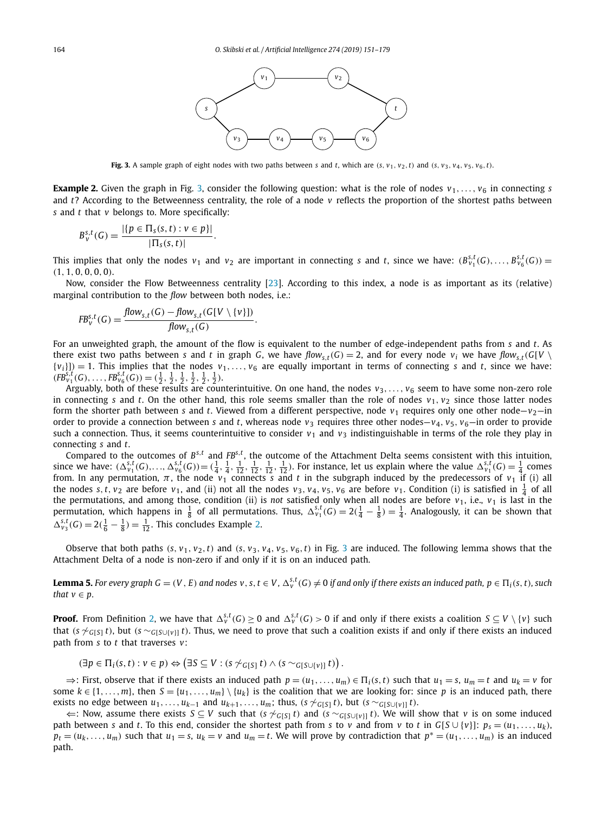<span id="page-13-0"></span>

Fig. 3. A sample graph of eight nodes with two paths between s and t, which are  $(s, v_1, v_2, t)$  and  $(s, v_3, v_4, v_5, v_6, t)$ .

**Example 2.** Given the graph in Fig. 3, consider the following question: what is the role of nodes  $v_1, \ldots, v_6$  in connecting *s* and *t*? According to the Betweenness centrality, the role of a node *v* reflects the proportion of the shortest paths between *s* and *t* that *v* belongs to. More specifically:

$$
B_{v}^{s,t}(G) = \frac{|\{p \in \Pi_{s}(s,t) : v \in p\}|}{|\Pi_{s}(s,t)|}.
$$

This implies that only the nodes  $v_1$  and  $v_2$  are important in connecting s and t, since we have:  $(B^{s,t}_{v_1}(G),\ldots,B^{s,t}_{v_6}(G))$  = *(*1*,* 1*,* 0*,* 0*,* 0*,* 0*)*.

Now, consider the Flow Betweenness centrality [\[23\]](#page-27-0). According to this index, a node is as important as its (relative) marginal contribution to the *flow* between both nodes, i.e.:

$$
FB_v^{s,t}(G) = \frac{flow_{s,t}(G) - flow_{s,t}(G[V \setminus \{v\}])}{flow_{s,t}(G)}.
$$

For an unweighted graph, the amount of the flow is equivalent to the number of edge-independent paths from *s* and *t*. As there exist two paths between s and t in graph G, we have  $flow_{st}(G) = 2$ , and for every node  $v_i$  we have  $flow_{st}(G[V \setminus$  ${v_i}|_{i=1}$ . This implies that the nodes  $v_1, \ldots, v_6$  are equally important in terms of connecting *s* and *t*, since we have:  $(FB^{S,t}_{\nu_1}(G),\ldots,FB^{S,t}_{\nu_6}(G))=(\frac{1}{2},\frac{1}{2},\frac{1}{2},\frac{1}{2},\frac{1}{2},\frac{1}{2}).$ 

Arguably, both of these results are counterintuitive. On one hand, the nodes  $v_3, \ldots, v_6$  seem to have some non-zero role in connecting *s* and *t*. On the other hand, this role seems smaller than the role of nodes  $v_1, v_2$  since those latter nodes form the shorter path between *s* and *t*. Viewed from a different perspective, node  $v_1$  requires only one other node– $v_2$ —in order to provide a connection between *s* and *t*, whereas node  $v_3$  requires three other nodes— $v_4$ ,  $v_5$ ,  $v_6$ —in order to provide such a connection. Thus, it seems counterintuitive to consider  $v_1$  and  $v_3$  indistinguishable in terms of the role they play in connecting *s* and *t*.

Compared to the outcomes of  $B^{s,t}$  and  $FB^{s,t}$ , the outcome of the Attachment Delta seems consistent with this intuition, since we have:  $(\Delta_{v_1}^{s,t}(G),...,\Delta_{v_6}^{s,t}(G)) = (\frac{1}{4}, \frac{1}{4}, \frac{1}{12}, \frac{1}{12}, \frac{1}{12}, \frac{1}{12})$ . For i from. In any permutation,  $\pi$ , the node  $v_1$  connects *s* and *t* in the subgraph induced by the predecessors of  $v_1$  if (i) all the nodes s, t,  $v_2$  are before  $v_1$ , and (ii) not all the nodes  $v_3$ ,  $v_4$ ,  $v_5$ ,  $v_6$  are before  $v_1$ . Condition (i) is satisfied in  $\frac{1}{4}$  of all the permutations, and among those, condition (ii) is *not* satisfied only when all nodes are before  $v_1$ , i.e.,  $v_1$  is last in the permutation, which happens in  $\frac{1}{8}$  of all permutations. Thus,  $\Delta_{v_1}^{s,t}(G) = 2(\frac{1}{4} - \frac{1}{8}) = \frac{1}{4}$ . Analogously, it can be shown that  $\Delta_{v_3}^{s,t}(G) = 2(\frac{1}{6} - \frac{1}{8}) = \frac{1}{12}$ . This concludes Example 2.

Observe that both paths  $(s, v_1, v_2, t)$  and  $(s, v_3, v_4, v_5, v_6, t)$  in Fig. 3 are induced. The following lemma shows that the Attachment Delta of a node is non-zero if and only if it is on an induced path.

**Lemma 5.** For every graph G  $=(V,E)$  and nodes  $v,s,t\in V$ ,  $\Delta^{s,t}_v(G)\neq 0$  if and only if there exists an induced path,  $p\in \Pi_i(s,t)$ , such *that*  $v \in p$ .

**Proof.** From Definition [2,](#page-11-0) we have that  $\Delta_v^{s,t}(G)\geq 0$  and  $\Delta_v^{s,t}(G)>0$  if and only if there exists a coalition  $S\subseteq V\setminus\{v\}$  such that (*s*  $\gamma$ <sub>*G*[*S*]</sub> *t*), but (*s* ∼*G*[*S*∪{*v*<sub>]</sub>] *t*). Thus, we need to prove that such a coalition exists if and only if there exists an induced path from *s* to *t* that traverses *v*:

$$
(\exists p \in \Pi_i(s,t) : v \in p) \Leftrightarrow (\exists S \subseteq V : (s \not\sim_{G[S]} t) \land (s \sim_{G[S \cup \{v\}]} t)).
$$

 $\Rightarrow$ : First, observe that if there exists an induced path  $p = (u_1, \dots, u_m) \in \Pi_i(s, t)$  such that  $u_1 = s$ ,  $u_m = t$  and  $u_k = v$  for some  $k \in \{1, \ldots, m\}$ , then  $S = \{u_1, \ldots, u_m\} \setminus \{u_k\}$  is the coalition that we are looking for: since p is an induced path, there exists no edge between  $u_1, \ldots, u_{k-1}$  and  $u_{k+1}, \ldots, u_m$ ; thus,  $(s \not\sim_{G[S]} t)$ , but  $(s \sim_{G[S \cup \{v\}]} t)$ .

 $\Leftarrow$ : Now, assume there exists *S* ⊆ *V* such that (*s*  $\sim$ <sub>*G*[*S*] *t*) and (*s*  $\sim$ <sub>*G*[*S*∪[*v*]] *t*). We will show that *v* is on some induced</sub></sub> path between s and t. To this end, consider the shortest path from s to v and from v to t in  $G[S \cup \{v\}]: p_s = (u_1, \ldots, u_k)$ ,  $p_t = (u_k, \dots, u_m)$  such that  $u_1 = s$ ,  $u_k = v$  and  $u_m = t$ . We will prove by contradiction that  $p^* = (u_1, \dots, u_m)$  is an induced path.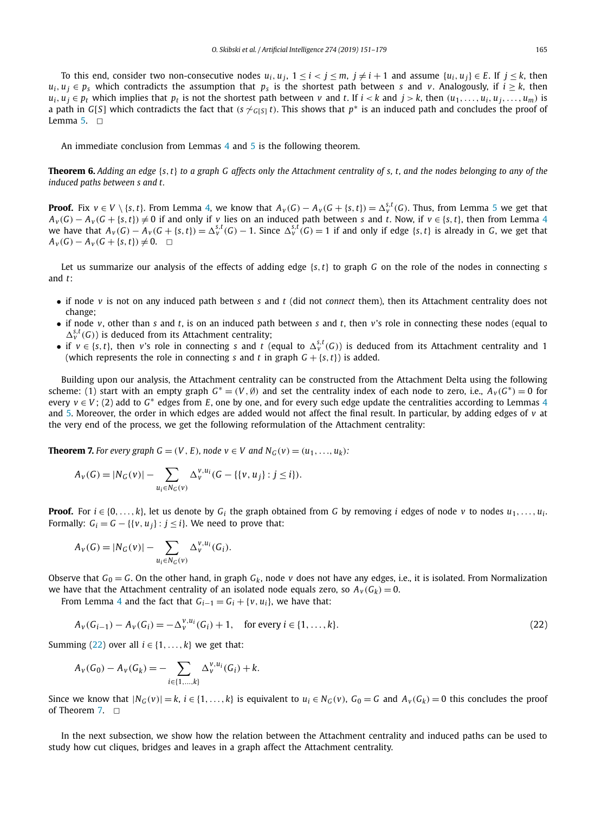<span id="page-14-0"></span>To this end, consider two non-consecutive nodes  $u_i, u_j, 1 \le i < j \le m$ ,  $j \ne i + 1$  and assume  $\{u_i, u_j\} \in E$ . If  $j \le k$ , then  $u_i, u_j \in p_s$  which contradicts the assumption that  $p_s$  is the shortest path between *s* and *v*. Analogously, if  $i \geq k$ , then  $u_i, u_j \in p_t$  which implies that  $p_t$  is not the shortest path between v and t. If  $i < k$  and  $j > k$ , then  $(u_1, \ldots, u_i, u_j, \ldots, u_m)$  is a path in *G*[*S*] which contradicts the fact that  $(s \nsim_{G[S]} t)$ . This shows that  $p^*$  is an induced path and concludes the proof of Lemma  $5. \square$  $5. \square$ 

An immediate conclusion from Lemmas [4](#page-12-0) and [5](#page-13-0) is the following theorem.

**Theorem 6.** Adding an edge  $\{s, t\}$  to a graph G affects only the Attachment centrality of s, t, and the nodes belonging to any of the *induced paths between s and t.*

**Proof.** Fix  $v \in V \setminus \{s,t\}$ . From Lemma [4,](#page-12-0) we know that  $A_v(G) - A_v(G + \{s,t\}) = \Delta_v^{s,t}(G)$ . Thus, from Lemma [5](#page-13-0) we get that  $A_V(G) - A_V(G + \{s, t\}) \neq 0$  if and only if v lies on an induced path between s and t. Now, if  $v \in \{s, t\}$ , then from Lemma [4](#page-12-0) we have that  $A_v(G) - A_v(G + \{s,t\}) = \Delta_v^{s,t}(G) - 1$ . Since  $\Delta_v^{s,t}(G) = 1$  if and only if edge  $\{s,t\}$  is already in G, we get that *Av*<sub>*v*</sub>(*G*) − *Av*<sub>*(*</sub>*G* + {*s,t*})  $\neq$  0.  $\Box$ 

Let us summarize our analysis of the effects of adding edge  $\{s, t\}$  to graph G on the role of the nodes in connecting s and *t*:

- if node *v* is not on any induced path between *s* and *t* (did not *connect* them), then its Attachment centrality does not change;
- if node *v*, other than *s* and *t*, is on an induced path between *s* and *t*, then *v*'s role in connecting these nodes (equal to  $\Delta_{v}^{s,t}(G)$ ) is deduced from its Attachment centrality;
- if  $v \in \{s, t\}$ , then *v*'s role in connecting *s* and *t* (equal to  $\Delta_v^{s,t}(G)$ ) is deduced from its Attachment centrality and 1 (which represents the role in connecting *s* and *t* in graph  $G + \{s, t\}$ ) is added.

Building upon our analysis, the Attachment centrality can be constructed from the Attachment Delta using the following scheme: (1) start with an empty graph  $G^* = (V, \emptyset)$  and set the centrality index of each node to zero, i.e.,  $A_V(G^*) = 0$  for every *v* ∈ *V*; (2) add to *G*<sup>∗</sup> edges from *E*, one by one, and for every such edge update the centralities according to Lemmas [4](#page-12-0) and [5.](#page-13-0) Moreover, the order in which edges are added would not affect the final result. In particular, by adding edges of *v* at the very end of the process, we get the following reformulation of the Attachment centrality:

**Theorem 7.** For every graph  $G = (V, E)$ , node  $v \in V$  and  $N_G(v) = (u_1, ..., u_k)$ :

$$
A_{\nu}(G) = |N_G(\nu)| - \sum_{u_i \in N_G(\nu)} \Delta_{\nu}^{\nu, u_i}(G - \{\{\nu, u_j\} : j \leq i\}).
$$

**Proof.** For  $i \in \{0, \ldots, k\}$ , let us denote by  $G_i$  the graph obtained from G by removing *i* edges of node *v* to nodes  $u_1, \ldots, u_i$ . Formally:  $G_i = G - \{ \{v, u_i\} : j \leq i \}$ . We need to prove that:

$$
A_{v}(G) = |N_{G}(v)| - \sum_{u_{i} \in N_{G}(v)} \Delta_{v}^{v, u_{i}}(G_{i}).
$$

Observe that  $G_0 = G$ . On the other hand, in graph  $G_k$ , node v does not have any edges, i.e., it is isolated. From Normalization we have that the Attachment centrality of an isolated node equals zero, so  $A_V(G_k) = 0$ .

From Lemma [4](#page-12-0) and the fact that  $G_{i-1} = G_i + \{v, u_i\}$ , we have that:

$$
A_V(G_{i-1}) - A_V(G_i) = -\Delta_V^{V,U_i}(G_i) + 1, \quad \text{for every } i \in \{1, ..., k\}.
$$
 (22)

Summing (22) over all  $i \in \{1, ..., k\}$  we get that:

$$
A_v(G_0) - A_v(G_k) = - \sum_{i \in \{1, \dots, k\}} \Delta_v^{v, u_i}(G_i) + k.
$$

Since we know that  $|N_G(v)| = k$ ,  $i \in \{1, ..., k\}$  is equivalent to  $u_i \in N_G(v)$ ,  $G_0 = G$  and  $A_v(G_k) = 0$  this concludes the proof of Theorem 7.  $\Box$ 

In the next subsection, we show how the relation between the Attachment centrality and induced paths can be used to study how cut cliques, bridges and leaves in a graph affect the Attachment centrality.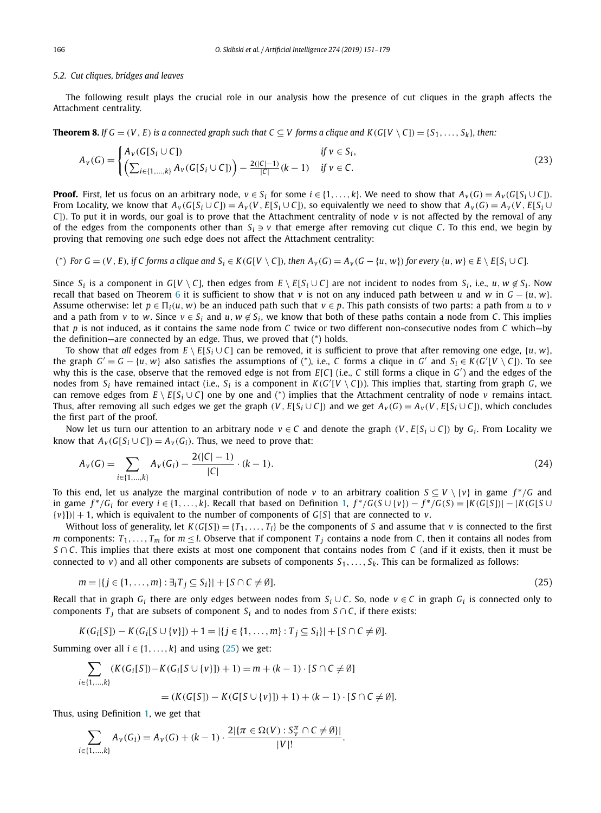# <span id="page-15-0"></span>*5.2. Cut cliques, bridges and leaves*

The following result plays the crucial role in our analysis how the presence of cut cliques in the graph affects the Attachment centrality.

**Theorem 8.** If  $G = (V, E)$  is a connected graph such that  $C \subseteq V$  forms a clique and  $K(G[V \setminus C]) = \{S_1, \ldots, S_k\}$ , then:

$$
A_{\nu}(G) = \begin{cases} A_{\nu}(G[S_i \cup C]) & \text{if } \nu \in S_i, \\ \left(\sum_{i \in \{1, \dots, k\}} A_{\nu}(G[S_i \cup C])\right) - \frac{2(|C| - 1)}{|C|}(k - 1) & \text{if } \nu \in C. \end{cases}
$$
(23)

**Proof.** First, let us focus on an arbitrary node,  $v \in S_i$  for some  $i \in \{1, ..., k\}$ . We need to show that  $A_v(G) = A_v(G[S_i \cup C])$ . From Locality, we know that  $A_v(G[S_i \cup C]) = A_v(V, E[S_i \cup C])$ , so equivalently we need to show that  $A_v(G) = A_v(V, E[S_i \cup C])$ *C*]). To put it in words, our goal is to prove that the Attachment centrality of node *v* is not affected by the removal of any of the edges from the components other than  $S_i \ni v$  that emerge after removing cut clique *C*. To this end, we begin by proving that removing *one* such edge does not affect the Attachment centrality:

(\*) For  $G = (V, E)$ , if C forms a clique and  $S_i \in K(G[V \setminus C])$ , then  $A_V(G) = A_V(G - \{u, w\})$  for every  $\{u, w\} \in E \setminus E[S_i \cup C]$ .

Since  $S_i$  is a component in  $G[V \setminus C]$ , then edges from  $E \setminus E[S_i \cup C]$  are not incident to nodes from  $S_i$ , i.e.,  $u, w \notin S_i$ . Now recall that based on Theorem [6](#page-14-0) it is sufficient to show that *v* is not on any induced path between *u* and *w* in *G* − {*u, w*}. Assume otherwise: let  $p \in \Pi_i(u, w)$  be an induced path such that  $v \in p$ . This path consists of two parts: a path from *u* to *v* and a path from *v* to *w*. Since  $v \in S_i$  and  $u, w \notin S_i$ , we know that both of these paths contain a node from *C*. This implies that *p* is not induced, as it contains the same node from *C* twice or two different non-consecutive nodes from *C* which—by the definition—are connected by an edge. Thus, we proved that (\*) holds.

To show that *all* edges from  $E \setminus E[S_i \cup C]$  can be removed, it is sufficient to prove that after removing one edge,  $\{u, w\}$ , the graph  $G' = G - \{u, w\}$  also satisfies the assumptions of (\*), i.e., *C* forms a clique in  $G'$  and  $S_i \in K(G'[V \setminus C])$ . To see why this is the case, observe that the removed edge is not from *E*[*C*] (i.e., *C* still forms a clique in *G'*) and the edges of the nodes from  $S_i$  have remained intact (i.e.,  $S_i$  is a component in  $K(G'[V \setminus C])$ ). This implies that, starting from graph *G*, we can remove edges from  $E \setminus E[S_i \cup C]$  one by one and (\*) implies that the Attachment centrality of node *v* remains intact. Thus, after removing all such edges we get the graph  $(V, E[S_i \cup C])$  and we get  $A_V(G) = A_V(V, E[S_i \cup C])$ , which concludes the first part of the proof.

Now let us turn our attention to an arbitrary node  $v \in C$  and denote the graph  $(V, E[S_i \cup C])$  by  $G_i$ . From Locality we know that  $A_v(G[S_i \cup C]) = A_v(G_i)$ . Thus, we need to prove that:

$$
A_V(G) = \sum_{i \in \{1, \dots, k\}} A_V(G_i) - \frac{2(|C| - 1)}{|C|} \cdot (k - 1). \tag{24}
$$

To this end, let us analyze the marginal contribution of node *v* to an arbitrary coalition *S* ⊆ *V* \ {*v*} in game *f* <sup>∗</sup>*/G* and in game  $f^*/G_i$  for every  $i \in \{1, ..., k\}$  $i \in \{1, ..., k\}$  $i \in \{1, ..., k\}$ . Recall that based on Definition 1,  $f^*/G(S \cup \{v\}) - f^*/G(S) = |K(G[S])| - |K(G[S \cup \{v\})|$  $\{v\}\| + 1$ , which is equivalent to the number of components of *G*[*S*] that are connected to *v*.

Without loss of generality, let  $K(G[S]) = \{T_1, \ldots, T_l\}$  be the components of *S* and assume that *v* is connected to the first *m* components:  $T_1, \ldots, T_m$  for  $m \leq l$ . Observe that if component  $T_j$  contains a node from *C*, then it contains all nodes from *S* ∩ *C*. This implies that there exists at most one component that contains nodes from *C* (and if it exists, then it must be connected to *v*) and all other components are subsets of components  $S_1, \ldots, S_k$ . This can be formalized as follows:

$$
m = |\{j \in \{1, ..., m\} : \exists_i T_j \subseteq S_i\}| + [S \cap C \neq \emptyset].
$$
\n(25)

Recall that in graph  $G_i$  there are only edges between nodes from  $S_i \cup C$ . So, node  $v \in C$  in graph  $G_i$  is connected only to components  $T_j$  that are subsets of component  $S_i$  and to nodes from  $S \cap C$ , if there exists:

$$
K(G_i[S]) - K(G_i[S \cup \{v\}]) + 1 = |\{j \in \{1, ..., m\} : T_j \subseteq S_i\}| + [S \cap C \neq \emptyset].
$$

Summing over all  $i \in \{1, ..., k\}$  and using (25) we get:

$$
\sum_{i \in \{1, \dots, k\}} (K(G_i[S]) - K(G_i[S \cup \{v\}]) + 1) = m + (k - 1) \cdot [S \cap C \neq \emptyset]
$$
  
=  $(K(G[S]) - K(G[S \cup \{v\}]) + 1) + (k - 1) \cdot [S \cap C \neq \emptyset].$ 

Thus, using Definition [1,](#page-7-0) we get that

$$
\sum_{i \in \{1, \ldots, k\}} A_{\nu}(G_i) = A_{\nu}(G) + (k - 1) \cdot \frac{2|\{\pi \in \Omega(V) : S_{\nu}^{\pi} \cap C \neq \emptyset\}|}{|V|!}.
$$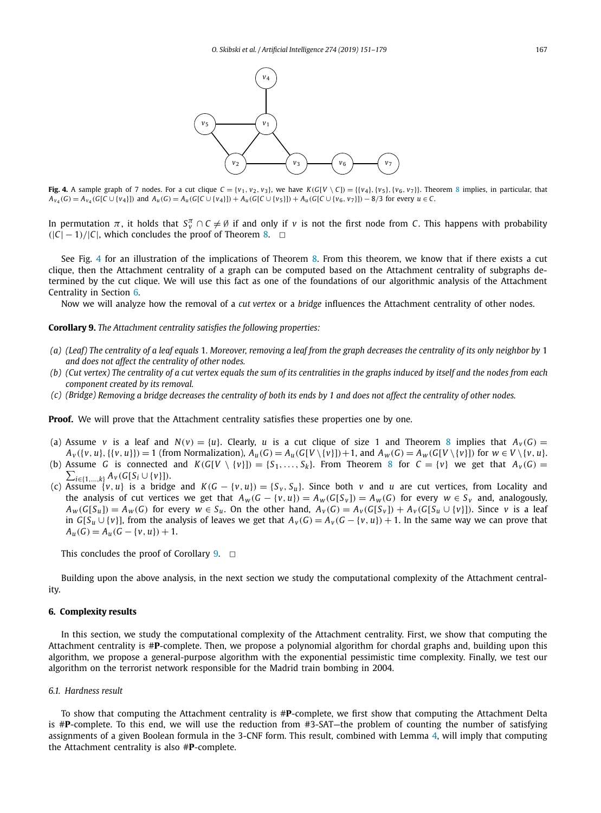<span id="page-16-0"></span>

Fig. 4. A sample graph of 7 nodes. For a cut clique  $C = \{v_1, v_2, v_3\}$ , we have  $K(G[V \setminus C]) = \{\{v_4\}, \{v_5\}, \{v_6, v_7\}\}\$ . Theorem [8](#page-15-0) implies, in particular, that  $A_{v_4}(G) = A_{v_4}(G[C \cup \{v_4\}])$  and  $A_u(G) = A_u(G[C \cup \{v_4\}]) + A_u(G[C \cup \{v_5\}]) + A_u(G[C \cup \{v_6, v_7\}]) - 8/3$  for every  $u \in C$ .

In permutation  $\pi$ , it holds that  $S_v^{\pi} \cap C \neq \emptyset$  if and only if  $v$  is not the first node from *C*. This happens with probability  $(|C| - 1)/|C|$ , which concludes the proof of Theorem [8.](#page-15-0)  $\Box$ 

See Fig. 4 for an illustration of the implications of Theorem [8.](#page-15-0) From this theorem, we know that if there exists a cut clique, then the Attachment centrality of a graph can be computed based on the Attachment centrality of subgraphs determined by the cut clique. We will use this fact as one of the foundations of our algorithmic analysis of the Attachment Centrality in Section 6.

Now we will analyze how the removal of a *cut vertex* or a *bridge* influences the Attachment centrality of other nodes.

**Corollary 9.** *The Attachment centrality satisfies the following properties:*

- (a) (Leaf) The centrality of a leaf equals 1. Moreover, removing a leaf from the graph decreases the centrality of its only neighbor by 1 *and does not affect the centrality of other nodes.*
- (b) (Cut vertex) The centrality of a cut vertex equals the sum of its centralities in the graphs induced by itself and the nodes from each *component created by its removal.*
- (c) (Bridge) Removing a bridge decreases the centrality of both its ends by 1 and does not affect the centrality of other nodes.

**Proof.** We will prove that the Attachment centrality satisfies these properties one by one.

- (a) Assume *v* is a leaf and  $N(v) = \{u\}$ . Clearly, *u* is a cut clique of size 1 and Theorem [8](#page-15-0) implies that  $A_v(G)$  =  $A_v({v,u},\{{v,u}\})=1$  (from Normalization),  $A_u(G) = A_u(G[V\setminus{v}]) + 1$ , and  $A_w(G) = A_w(G[V\setminus{v}])$  for  $w \in V\setminus{v,u}$ .
- (b) Assume *G* is connected and  $K(G[V \setminus \{v\}]) = \{S_1, \ldots, S_k\}$ . From Theorem [8](#page-15-0) for  $C = \{v\}$  we get that  $A_v(G) =$  $\sum_{i \in \{1,...,k\}} A_v(G[S_i \cup \{v\}]).$
- (c) Assume  $\{v, u\}$  is a bridge and  $K(G \{v, u\}) = \{S_v, S_u\}$ . Since both v and u are cut vertices, from Locality and the analysis of cut vertices we get that  $A_w(G - \{v, u\}) = A_w(G[S_v]) = A_w(G)$  for every  $w \in S_v$  and, analogously,  $A_W(G[S_u]) = A_W(G)$  for every  $w \in S_u$ . On the other hand,  $A_V(G) = A_V(G[S_v]) + A_V(G[S_u \cup \{v\}])$ . Since v is a leaf in *G*[*S<sub>u</sub>* ∪ {*v*}], from the analysis of leaves we get that  $A_v(G) = A_v(G - \{v, u\}) + 1$ . In the same way we can prove that  $A_u(G) = A_u(G - \{v, u\}) + 1.$

This concludes the proof of Corollary  $9. \Box$ 

Building upon the above analysis, in the next section we study the computational complexity of the Attachment centrality.

### **6. Complexity results**

In this section, we study the computational complexity of the Attachment centrality. First, we show that computing the Attachment centrality is #**P**-complete. Then, we propose a polynomial algorithm for chordal graphs and, building upon this algorithm, we propose a general-purpose algorithm with the exponential pessimistic time complexity. Finally, we test our algorithm on the terrorist network responsible for the Madrid train bombing in 2004.

# *6.1. Hardness result*

To show that computing the Attachment centrality is #**P**-complete, we first show that computing the Attachment Delta is #**P**-complete. To this end, we will use the reduction from #3-SAT—the problem of counting the number of satisfying assignments of a given Boolean formula in the 3-CNF form. This result, combined with Lemma [4,](#page-12-0) will imply that computing the Attachment centrality is also #**P**-complete.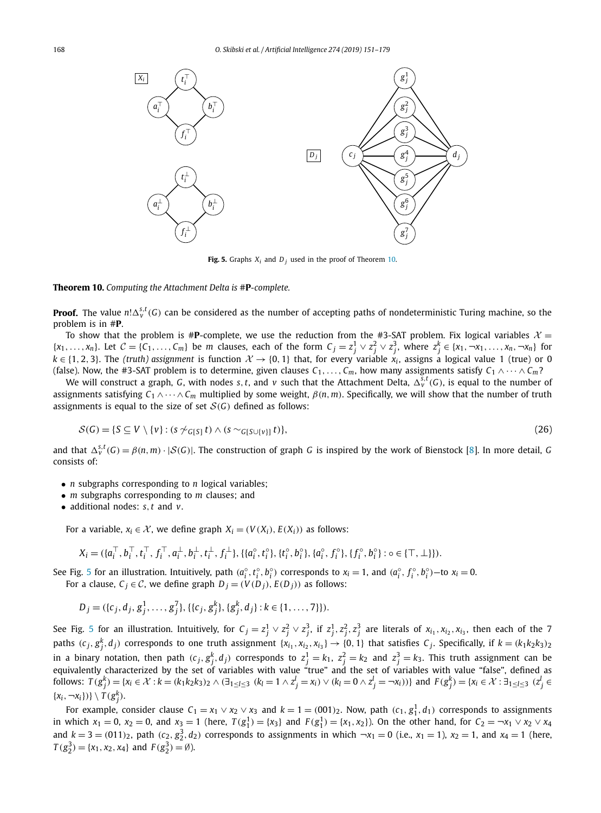<span id="page-17-0"></span>

**Fig. 5.** Graphs  $X_i$  and  $D_i$  used in the proof of Theorem 10.

**Theorem 10.** *Computing the Attachment Delta is* #**P***-complete.*

**Proof.** The value  $n! \Delta_v^{s,t}(G)$  can be considered as the number of accepting paths of nondeterministic Turing machine, so the problem is in #**P**.

To show that the problem is  $#P$ -complete, we use the reduction from the  $#3$ -SAT problem. Fix logical variables  $X =$  $\{x_1,\ldots,x_n\}$ . Let  $C = \{C_1,\ldots,C_m\}$  be m clauses, each of the form  $C_j = z_j^1 \vee z_j^2 \vee z_j^3$ , where  $z_j^k \in \{x_1,\neg x_1,\ldots,x_n,\neg x_n\}$  for  $k \in \{1, 2, 3\}$ . The *(truth)* assignment is function  $\mathcal{X} \to \{0, 1\}$  that, for every variable  $x_i$ , assigns a logical value 1 (true) or 0 (false). Now, the #3-SAT problem is to determine, given clauses  $C_1, \ldots, C_m$ , how many assignments satisfy  $C_1 \wedge \cdots \wedge C_m$ ?

We will construct a graph, *G*, with nodes *s, t*, and *v* such that the Attachment Delta,  $\Delta_v^{s,t}(G)$ , is equal to the number of assignments satisfying  $C_1 \wedge \cdots \wedge C_m$  multiplied by some weight,  $\beta(n, m)$ . Specifically, we will show that the number of truth assignments is equal to the size of set  $S(G)$  defined as follows:

$$
\mathcal{S}(G) = \{ S \subseteq V \setminus \{v\} : (s \not\sim_{G[S]} t) \land (s \sim_{G[S \cup \{v\}]} t) \},\tag{26}
$$

and that  $\Delta_v^{s,t}(G) = \beta(n,m) \cdot |\mathcal{S}(G)|$ . The construction of graph G is inspired by the work of Bienstock [\[8\]](#page-27-0). In more detail, G consists of:

- *n* subgraphs corresponding to *n* logical variables;
- *m* subgraphs corresponding to *m* clauses; and
- additional nodes: *s,t* and *v*.

For a variable,  $x_i \in \mathcal{X}$ , we define graph  $X_i = (V(X_i), E(X_i))$  as follows:

$$
X_i = (\{a_i^\top, b_i^\top, t_i^\top, f_i^\top, a_i^\perp, b_i^\perp, t_i^\perp, f_i^\perp\}, \{\{a_i^\circ, t_i^\circ\}, \{t_i^\circ, b_i^\circ\}, \{a_i^\circ, f_i^\circ\}, \{f_i^\circ, b_i^\circ\} : \circ \in \{\top, \perp\}\}).
$$

See Fig. 5 for an illustration. Intuitively, path  $(a_i^{\circ}, t_i^{\circ}, b_i^{\circ})$  corresponds to  $x_i = 1$ , and  $(a_i^{\circ}, f_i^{\circ}, b_i^{\circ})$ —to  $x_i = 0$ . For a clause,  $C_j \in \mathcal{C}$ , we define graph  $D_j = (V(D_j), E(D_j))$  as follows:

$$
D_j = (\{c_j, d_j, g_j^1, \dots, g_j^7\}, \{\{c_j, g_j^k\}, \{g_j^k, d_j\} : k \in \{1, \dots, 7\}\}).
$$

See Fig. 5 for an illustration. Intuitively, for  $C_j=z_j^1\vee z_j^2\vee z_j^3$ , if  $z_j^1,z_j^2,z_j^3$  are literals of  $x_{i_1},x_{i_2},x_{i_3}$ , then each of the 7 paths  $(c_j, g_j^k, d_j)$  corresponds to one truth assignment  $\{x_{i_1}, x_{i_2}, x_{i_3}\} \to \{0, 1\}$  that satisfies  $C_j$ . Specifically, if  $k = (k_1 k_2 k_3)_{2k_3}$ in a binary notation, then path  $(c_j, g_j^k, d_j)$  corresponds to  $z_j^1 = k_1$ ,  $z_j^2 = k_2$  and  $z_j^3 = k_3$ . This truth assignment can be equivalently characterized by the set of variables with value "true" and the set of variables with value "false", defined as follows:  $T(g_j^k) = \{x_i \in \mathcal{X} : k = (k_1 k_2 k_3)_2 \land (\exists_{1 \leq l \leq 3} (k_l = 1 \land z_j^l = x_i) \lor (k_l = 0 \land z_j^l = \neg x_i))\}$  and  $F(g_j^k) = \{x_i \in \mathcal{X} : \exists_{1 \leq l \leq 3} (z_j^l \in \mathcal{X} \land \exists_{1 \leq l \leq 3} (z_j^l \in \mathcal{X}))\}$  $\{x_i, \neg x_i\}\}\ \setminus T(g_j^k).$ 

For example, consider clause  $C_1 = x_1 \vee x_2 \vee x_3$  and  $k = 1 = (001)_2$ . Now, path  $(c_1, g_1^1, d_1)$  corresponds to assignments in which  $x_1 = 0$ ,  $x_2 = 0$ , and  $x_3 = 1$  (here,  $T(g_1^1) = \{x_3\}$  and  $F(g_1^1) = \{x_1, x_2\}$ ). On the other hand, for  $C_2 = -x_1 \vee x_2 \vee x_4$ and  $k = 3 = (011)_2$ , path  $(c_2, g_2^3, d_2)$  corresponds to assignments in which  $\neg x_1 = 0$  (i.e.,  $x_1 = 1$ ),  $x_2 = 1$ , and  $x_4 = 1$  (here,  $T(g_2^3) = \{x_1, x_2, x_4\}$  and  $F(g_2^3) = \emptyset$ ).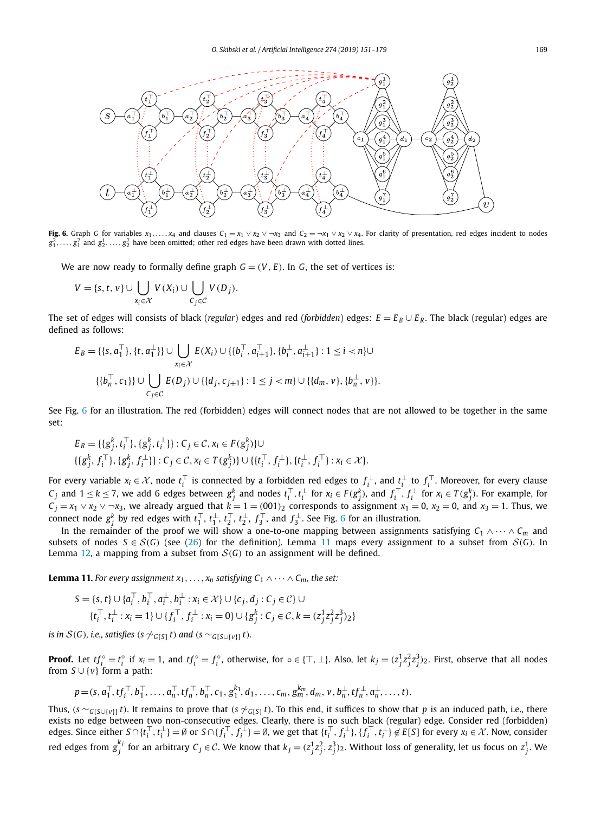<span id="page-18-0"></span>

Fig. 6. Graph G for variables  $x_1, ..., x_4$  and clauses  $C_1 = x_1 \vee x_2 \vee \neg x_3$  and  $C_2 = x_1 \vee x_2 \vee x_4$ . For clarity of presentation, red edges incident to nodes  $g_1^2, \ldots, g_1^7$  and  $g_2^1, \ldots, g_2^7$  have been omitted; other red edges have been drawn with dotted lines.

We are now ready to formally define graph  $G = (V, E)$ . In *G*, the set of vertices is:

$$
V = \{s, t, v\} \cup \bigcup_{x_i \in \mathcal{X}} V(X_i) \cup \bigcup_{C_j \in \mathcal{C}} V(D_j).
$$

The set of edges will consists of black (*regular*) edges and red (*forbidden*) edges:  $E = E_B \cup E_R$ . The black (*regular*) edges are defined as follows:

$$
E_B = \{\{s, a_1^{\top}\}, \{t, a_1^{\perp}\}\} \cup \bigcup_{x_i \in \mathcal{X}} E(X_i) \cup \{\{b_i^{\top}, a_{i+1}^{\top}\}, \{b_i^{\perp}, a_{i+1}^{\perp}\} : 1 \leq i < n\} \cup \{\{b_n^{\top}, c_1\}\} \cup \bigcup_{C_j \in \mathcal{C}} E(D_j) \cup \{\{d_j, c_{j+1}\} : 1 \leq j < m\} \cup \{\{d_m, v\}, \{b_n^{\perp}, v\}\}.
$$

See Fig. 6 for an illustration. The red (forbidden) edges will connect nodes that are not allowed to be together in the same set:

$$
E_R = \{ \{g_j^k, t_i^{\top}\}, \{g_j^k, t_i^{\perp}\} \} : C_j \in \mathcal{C}, x_i \in F(g_j^k)\} \cup \{ \{g_j^k, f_i^{\top}\}, \{g_j^k, f_i^{\perp}\} \} : C_j \in \mathcal{C}, x_i \in T(g_j^k)\} \cup \{ \{t_i^{\top}, f_i^{\perp}\}, \{t_i^{\perp}, f_i^{\top}\} : x_i \in \mathcal{X} \}.
$$

For every variable  $x_i \in \mathcal{X}$ , node  $t_i^\top$  is connected by a forbidden red edges to  $f_i^\perp$ , and  $t_i^\perp$  to  $f_i^\top$ . Moreover, for every clause  $C_j$  and  $1 \leq k \leq 7$ , we add 6 edges between  $g_j^k$  and nodes  $t_i^\top, t_i^\bot$  for  $x_i \in F(g_j^k)$ , and  $f_i^\top, f_i^\bot$  for  $x_i \in T(g_j^k)$ . For example, for *C*<sub>*j*</sub> = *x*<sub>1</sub> ∨ *x*<sub>2</sub> ∨ ¬*x*<sub>3</sub>, we already argued that *k* = 1 =  $(001)_2$  corresponds to assignment *x*<sub>1</sub> = 0, *x*<sub>2</sub> = 0, and *x*<sub>3</sub> = 1. Thus, we connect node  $g_j^k$  by red edges with  $t_1^\top$ ,  $t_1^\bot$ ,  $t_2^\top$ ,  $t_2^\bot$ ,  $f_3^\top$ , and  $f_3^\bot$ . See Fig. 6 for an illustration.

In the remainder of the proof we will show a one-to-one mapping between assignments satisfying *C*<sup>1</sup> ∧···∧ *Cm* and subsets of nodes  $S \in S(G)$  (see [\(26\)](#page-17-0) for the definition). Lemma 11 maps every assignment to a subset from  $S(G)$ . In Lemma [12,](#page-19-0) a mapping from a subset from  $S(G)$  to an assignment will be defined.

**Lemma 11.** For every assignment  $x_1, \ldots, x_n$  satisfying  $C_1 \wedge \cdots \wedge C_m$ , the set:

$$
S = \{s, t\} \cup \{a_i^\top, b_i^\top, a_i^\perp, b_i^\perp : x_i \in \mathcal{X}\} \cup \{c_j, d_j : C_j \in \mathcal{C}\} \cup \{t_i^\top, t_i^\perp : x_i = 1\} \cup \{f_i^\top, f_i^\perp : x_i = 0\} \cup \{g_j^k : C_j \in \mathcal{C}, k = (z_j^1 z_j^2 z_j^3)_{2}\}
$$

*is in*  $S(G)$ *, i.e., satisfies* (*s*  $\sim$ <sub>*G*[*S*</sub>] *t*) *and* (*s*  $\sim$ <sub>*G*[*S*∪{*v*}] *t*)*.*</sub>

**Proof.** Let  $tf_i^{\circ} = t_i^{\circ}$  if  $x_i = 1$ , and  $tf_i^{\circ} = f_i^{\circ}$ , otherwise, for  $\circ \in \{\top, \bot\}$ . Also, let  $k_j = (z_j^1 z_j^2 z_j^3)_2$ . First, observe that all nodes from *S* ∪ {*v*} form a path:

$$
p = (s, a_1^{\top}, tf_1^{\top}, b_1^{\top}, \ldots, a_n^{\top}, tf_n^{\top}, b_n^{\top}, c_1, g_1^{k_1}, d_1, \ldots, c_m, g_m^{k_m}, d_m, v, b_n^{\perp}, tf_n^{\perp}, a_n^{\perp}, \ldots, t).
$$

Thus,  $(s \sim_{G[S \cup \{v\}]} t)$ . It remains to prove that  $(s \not\sim_{G[S]} t)$ . To this end, it suffices to show that p is an induced path, i.e., there exists no edge between two non-consecutive edges. Clearly, there is no such black (regular) edge. Consider red (forbidden) edges. Since either  $S \cap \{t_i^\top, t_i^\bot\} = \emptyset$  or  $S \cap \{f_i^\top, f_i^\bot\} = \emptyset$ , we get that  $\{t_i^\top, f_i^\bot\}$ ,  $\{f_i^\top, t_i^\bot\} \notin E[S]$  for every  $x_i \in \mathcal{X}$ . Now, consider red edges from  $g_j^{k_j}$  for an arbitrary  $C_j \in \mathcal{C}$ . We know that  $k_j=(z_j^1z_j^2,z_j^3)_2$ . Without loss of generality, let us focus on  $z_j^1$ . We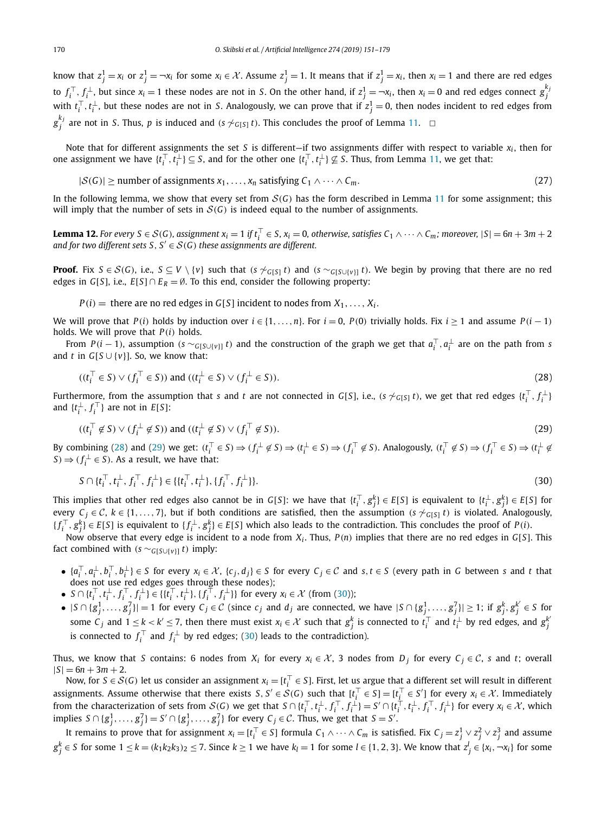<span id="page-19-0"></span>know that  $z_j^1 = x_i$  or  $z_j^1 = \neg x_i$  for some  $x_i \in \mathcal{X}$ . Assume  $z_j^1 = 1$ . It means that if  $z_j^1 = x_i$ , then  $x_i = 1$  and there are red edges to  $f_i^{\top}, f_i^{\perp}$ , but since  $x_i = 1$  these nodes are not in S. On the other hand, if  $z_j^1 = \neg x_i$ , then  $x_i = 0$  and red edges connect  $g_j^k$ with  $t_i^{\top}, t_i^{\perp}$ , but these nodes are not in *S*. Analogously, we can prove that if  $z_j^1 = 0$ , then nodes incident to red edges from *g*<sup>*k<sub>j</sub>*</sup> are not in *S*. Thus, *p* is induced and *(s* ∼ *G*[*S*] *t*). This concludes the proof of Lemma [11.](#page-18-0) **□** 

Note that for different assignments the set *S* is different—if two assignments differ with respect to variable  $x_i$ , then for one assignment we have  $\{t_i^\top, t_i^\perp\} \subseteq S$ , and for the other one  $\{t_i^\top, t_i^\perp\} \not\subseteq S$ . Thus, from Lemma [11,](#page-18-0) we get that:

$$
|S(G)| \ge \text{number of assignments } x_1, \dots, x_n \text{ satisfying } C_1 \land \dots \land C_m. \tag{27}
$$

In the following lemma, we show that every set from  $S(G)$  has the form described in Lemma [11](#page-18-0) for some assignment; this will imply that the number of sets in  $S(G)$  is indeed equal to the number of assignments.

**Lemma 12.** For every  $S \in S(G)$ , assignment  $x_i = 1$  if  $t_i^{\top} \in S$ ,  $x_i = 0$ , otherwise, satisfies  $C_1 \wedge \cdots \wedge C_m$ ; moreover,  $|S| = 6n + 3m + 2$ *and for two different sets*  $S, S' \in \mathcal{S}(G)$  *these assignments are different.* 

**Proof.** Fix  $S \in \mathcal{S}(G)$ , i.e.,  $S \subseteq V \setminus \{v\}$  such that  $(s \not\sim_{G[S]} t)$  and  $(s \sim_{G[S \cup \{v\}]} t)$ . We begin by proving that there are no red edges in *G*[*S*], i.e., *E*[*S*] ∩ *E*<sub>*R*</sub> = Ø. To this end, consider the following property:

 $P(i)$  = there are no red edges in *G*[*S*] incident to nodes from  $X_1, \ldots, X_i$ .

We will prove that  $P(i)$  holds by induction over  $i \in \{1, ..., n\}$ . For  $i = 0$ ,  $P(0)$  trivially holds. Fix  $i \ge 1$  and assume  $P(i - 1)$ holds. We will prove that *P(i)* holds.

From  $P(i-1)$ , assumption  $(s \sim_{G[S\cup \{v\}]} t)$  and the construction of the graph we get that  $a_i^{\top}, a_i^{\perp}$  are on the path from s and *t* in  $G[S \cup \{v\}]$ . So, we know that:

$$
((t_i^{\top} \in S) \vee (f_i^{\top} \in S)) \text{ and } ((t_i^{\perp} \in S) \vee (f_i^{\perp} \in S)).
$$
\n
$$
(28)
$$

Furthermore, from the assumption that s and t are not connected in G[S], i.e., (s  $\sim_{G[S]} t$ ), we get that red edges  $\{t_i^{\top}, f_i^{\perp}\}$ and  $\{t_i^{\perp}, f_i^{\top}\}\$  are not in  $E[S]$ :

$$
((t_i^{\top} \notin S) \vee (f_i^{\perp} \notin S)) \text{ and } ((t_i^{\perp} \notin S) \vee (f_i^{\top} \notin S)).
$$
\n
$$
(29)
$$

By combining (28) and (29) we get:  $(t_i^{\top} \in S) \Rightarrow (f_i^{\perp} \notin S) \Rightarrow (t_i^{\perp} \in S) \Rightarrow (f_i^{\top} \notin S)$ . Analogously,  $(t_i^{\top} \notin S) \Rightarrow (f_i^{\top} \in S) \Rightarrow (t_i^{\perp} \notin S)$  $S$  $\Rightarrow$   $(f_i^{\perp} \in S)$ . As a result, we have that:

$$
S \cap \{t_i^{\top}, t_i^{\perp}, f_i^{\top}, f_i^{\perp}\} \in \{\{t_i^{\top}, t_i^{\perp}\}, \{f_i^{\top}, f_i^{\perp}\}\}.
$$
\n
$$
(30)
$$

This implies that other red edges also cannot be in G[S]: we have that  $\{t_i^\top, g_j^k\} \in E[S]$  is equivalent to  $\{t_i^\bot, g_j^k\} \in E[S]$  for every  $C_j \in \mathcal{C}$ ,  $k \in \{1, \ldots, 7\}$ , but if both conditions are satisfied, then the assumption *(s*  $\gamma_{G[S]} t$ ) is violated. Analogously,  $\{f_i^\top, g_j^k\} \in E[S]$  is equivalent to  $\{f_i^\perp, g_j^k\} \in E[S]$  which also leads to the contradiction. This concludes the proof of  $P(i)$ .

Now observe that every edge is incident to a node from  $X_i$ . Thus,  $P(n)$  implies that there are no red edges in  $G[S]$ . This fact combined with  $(s \sim_{G[S \cup \{v\}] } t)$  imply:

- $\{a_i^\top, a_i^\perp, b_i^\top, b_i^\perp\} \in S$  for every  $x_i \in \mathcal{X}$ ,  $\{c_j, d_j\} \in S$  for every  $C_j \in \mathcal{C}$  and  $s, t \in S$  (every path in G between s and t that does not use red edges goes through these nodes);
- $S \cap \{t_i^{\top}, t_i^{\perp}, f_i^{\top}, f_i^{\perp}\} \in \{\{t_i^{\top}, t_i^{\perp}\}, \{f_i^{\top}, f_i^{\perp}\}\}\$  for every  $x_i \in \mathcal{X}$  (from (30));
- $|S \cap \{g_j^1, \ldots, g_j^7\}| = 1$  for every  $C_j \in \mathcal{C}$  (since  $c_j$  and  $d_j$  are connected, we have  $|S \cap \{g_j^1, \ldots, g_j^7\}| \geq 1$ ; if  $g_j^k, g_j^{k'} \in S$  for some  $C_j$  and  $1 \le k < k' \le 7$ , then there must exist  $x_i \in \mathcal{X}$  such that  $g_j^k$  is connected to  $t_i^\top$  and  $t_i^\perp$  by red edges, and  $g_j^k$ is connected to  $f_i^\top$  and  $f_i^\perp$  by red edges; (30) leads to the contradiction).

Thus, we know that *S* contains: 6 nodes from  $X_i$  for every  $x_i \in \mathcal{X}$ , 3 nodes from  $D_i$  for every  $C_i \in \mathcal{C}$ , *s* and *t*; overall  $|S| = 6n + 3m + 2.$ 

Now, for  $S \in \mathcal{S}(G)$  let us consider an assignment  $x_i = [t_i^\top \in S]$ . First, let us argue that a different set will result in different assignments. Assume otherwise that there exists *S*, *S'*  $\in$  *S*(*G*) such that  $[t_i^{\top} \in S] = [t_i^{\top} \in S']$  for every  $x_i \in \mathcal{X}$ . Immediately from the characterization of sets from  $\mathcal{S}(G)$  we get that  $S \cap \{t_i^\top, t_i^\perp, f_i^\perp, f_i^\perp\} = S' \cap \{t_i^\top, t_i^\perp, f_i^\perp, f_i^\perp\}$  for every  $x_i \in \mathcal{X}$ , which implies  $S \cap \{g_j^1, \ldots, g_j^7\} = S' \cap \{g_j^1, \ldots, g_j^7\}$  for every  $C_j \in \mathcal{C}$ . Thus, we get that  $S = S'$ .

It remains to prove that for assignment  $x_i = [t_i^\top \in S]$  formula  $C_1 \wedge \cdots \wedge C_m$  is satisfied. Fix  $C_j = z_j^1 \vee z_j^2 \vee z_j^3$  and assume  $g_j^k\in S$  for some  $1\leq k=(k_1k_2k_3)_2\leq 7.$  Since  $k\geq 1$  we have  $k_l=1$  for some  $l\in\{1,2,3\}.$  We know that  $z_j^l\in\{x_i, \neg x_i\}$  for some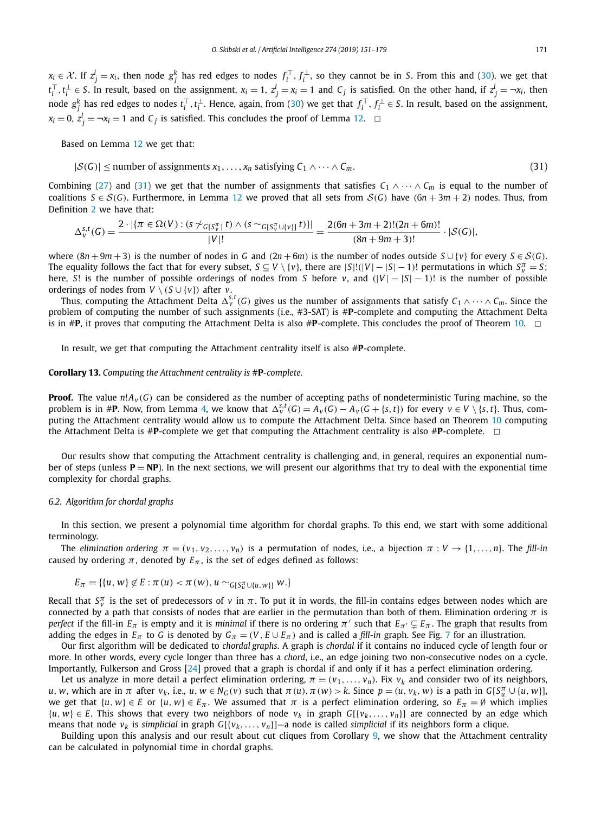<span id="page-20-0"></span> $x_i \in \mathcal{X}$ . If  $z_j^l = x_i$ , then node  $g_j^k$  has red edges to nodes  $f_i^\top, f_i^\perp$ , so they cannot be in *S*. From this and [\(30\)](#page-19-0), we get that  $t_i^\top, t_i^\bot \in S$ . In result, based on the assignment,  $x_i = 1, z_j^l = x_i = 1$  and  $C_j$  is satisfied. On the other hand, if  $z_j^l = \neg x_i$ , then node  $g_j^k$  has red edges to nodes  $t_i^\top,t_i^\bot$ . Hence, again, from [\(30\)](#page-19-0) we get that  $f_i^\top, f_i^\bot$   $\in$  S. In result, based on the assignment,  $x_i = 0$ ,  $z_j^l = \neg x_i = 1$  and  $C_j$  is satisfied. This concludes the proof of Lemma [12.](#page-19-0)  $\Box$ 

Based on Lemma [12](#page-19-0) we get that:

$$
|S(G)| \le \text{number of assignments } x_1, \dots, x_n \text{ satisfying } C_1 \land \dots \land C_m. \tag{31}
$$

Combining [\(27\)](#page-19-0) and (31) we get that the number of assignments that satisfies  $C_1 \wedge \cdots \wedge C_m$  is equal to the number of coalitions  $S \in S(G)$ . Furthermore, in Lemma [12](#page-19-0) we proved that all sets from  $S(G)$  have  $(6n + 3m + 2)$  nodes. Thus, from Definition [2](#page-11-0) we have that:

$$
\Delta_{v}^{s,t}(G) = \frac{2 \cdot |\{\pi \in \Omega(V) : (s \not\sim_{G[S_{v}^{\pi}]} t) \wedge (s \sim_{G[S_{v}^{\pi} \cup \{v\}]} t)\}|}{|V|!} = \frac{2(6n + 3m + 2)!(2n + 6m)!}{(8n + 9m + 3)!} \cdot |\mathcal{S}(G)|,
$$

where  $(8n + 9m + 3)$  is the number of nodes in *G* and  $(2n + 6m)$  is the number of nodes outside  $S \cup \{v\}$  for every  $S \in S(G)$ . The equality follows the fact that for every subset,  $S \subseteq V \setminus \{v\}$ , there are  $|S|!(|V| - |S| - 1)!$  permutations in which  $S_v^{\pi} = S$ ; here, *S*! is the number of possible orderings of nodes from *S* before *v*, and  $(|V| - |S| - 1)$ ! is the number of possible orderings of nodes from  $V \setminus (S \cup \{v\})$  after *v*.

Thus, computing the Attachment Delta  $\Delta_v^{s,t}(G)$  gives us the number of assignments that satisfy  $C_1\wedge\cdots\wedge C_m.$  Since the problem of computing the number of such assignments (i.e., #3-SAT) is #**P**-complete and computing the Attachment Delta is in  $#P$ , it proves that computing the Attachment Delta is also  $#P$ -complete. This concludes the proof of Theorem [10.](#page-17-0)  $\Box$ 

In result, we get that computing the Attachment centrality itself is also #**P**-complete.

#### **Corollary 13.** *Computing the Attachment centrality is* #**P***-complete.*

**Proof.** The value  $n!A_y(G)$  can be considered as the number of accepting paths of nondeterministic Turing machine, so the problem is in #**P**. Now, from Lemma [4,](#page-12-0) we know that  $\Delta_v^{s,t}(G) = A_v(G) - A_v(G + \{s,t\})$  for every  $v \in V \setminus \{s,t\}$ . Thus, computing the Attachment centrality would allow us to compute the Attachment Delta. Since based on Theorem [10](#page-17-0) computing the Attachment Delta is  $#P$ -complete we get that computing the Attachment centrality is also  $#P$ -complete.  $\Box$ 

Our results show that computing the Attachment centrality is challenging and, in general, requires an exponential number of steps (unless  $P = NP$ ). In the next sections, we will present our algorithms that try to deal with the exponential time complexity for chordal graphs.

#### *6.2. Algorithm for chordal graphs*

In this section, we present a polynomial time algorithm for chordal graphs. To this end, we start with some additional terminology.

The elimination ordering  $\pi = (v_1, v_2, \dots, v_n)$  is a permutation of nodes, i.e., a bijection  $\pi : V \to \{1, \dots, n\}$ . The fill-in caused by ordering  $\pi$ , denoted by  $E_{\pi}$ , is the set of edges defined as follows:

$$
E_{\pi} = \{ \{u, w\} \notin E : \pi(u) < \pi(w), u \sim_{G[S_u^{\pi} \cup \{u, w\}]} w. \}
$$

Recall that  $S_v^{\pi}$  is the set of predecessors of *v* in  $\pi$ . To put it in words, the fill-in contains edges between nodes which are connected by a path that consists of nodes that are earlier in the permutation than both of them. Elimination ordering *π* is *perfect* if the fill-in  $E_\pi$  is empty and it is *minimal* if there is no ordering  $\pi'$  such that  $E_{\pi'}\subsetneq E_\pi$ . The graph that results from adding the edges in  $E_{\pi}$  to *G* is denoted by  $G_{\pi} = (V, E \cup E_{\pi})$  and is called a *fill-in* graph. See Fig. [7](#page-21-0) for an illustration.

Our first algorithm will be dedicated to *chordal graphs*. A graph is *chordal* if it contains no induced cycle of length four or more. In other words, every cycle longer than three has a *chord*, i.e., an edge joining two non-consecutive nodes on a cycle. Importantly, Fulkerson and Gross [\[24\]](#page-27-0) proved that a graph is chordal if and only if it has a perfect elimination ordering.

Let us analyze in more detail a perfect elimination ordering,  $\pi = (v_1, \ldots, v_n)$ . Fix  $v_k$  and consider two of its neighbors, u, w, which are in  $\pi$  after  $v_k$ , i.e.,  $u, w \in N_G(v)$  such that  $\pi(u), \pi(w) > k$ . Since  $p = (u, v_k, w)$  is a path in  $G[S_u^\pi \cup \{u, w\}].$ we get that  $\{u, w\} \in E$  or  $\{u, w\} \in E_\pi$ . We assumed that  $\pi$  is a perfect elimination ordering, so  $E_\pi = \emptyset$  which implies {*u, w*} ∈ *E*. This shows that every two neighbors of node *vk* in graph *G*[{*vk,..., vn*}] are connected by an edge which means that node *vk* is *simplicial* in graph *G*[{*vk,..., vn*}]—a node is called *simplicial* if its neighbors form a clique.

Building upon this analysis and our result about cut cliques from Corollary [9,](#page-16-0) we show that the Attachment centrality can be calculated in polynomial time in chordal graphs.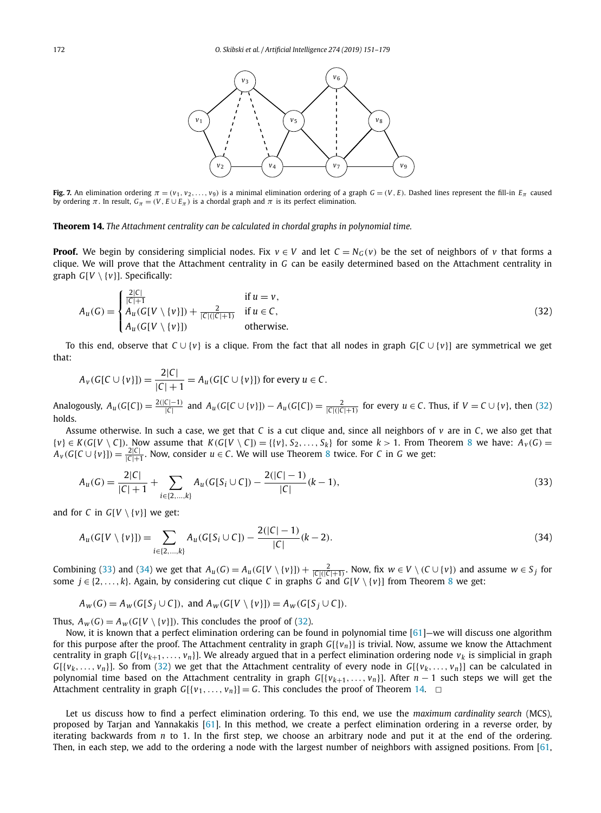<span id="page-21-0"></span>

Fig. 7. An elimination ordering  $\pi = (v_1, v_2, \ldots, v_9)$  is a minimal elimination ordering of a graph  $G = (V, E)$ . Dashed lines represent the fill-in  $E_{\pi}$  caused by ordering *π*. In result,  $G_\pi = (V, E \cup E_\pi)$  is a chordal graph and *π* is its perfect elimination.

# **Theorem 14.** *The Attachment centrality can be calculated in chordal graphs in polynomial time.*

**Proof.** We begin by considering simplicial nodes. Fix  $v \in V$  and let  $C = N_G(v)$  be the set of neighbors of *v* that forms a clique. We will prove that the Attachment centrality in *G* can be easily determined based on the Attachment centrality in graph *G*[*V* \ {*v*}]. Specifically:

$$
A_u(G) = \begin{cases} \frac{2|C|}{|C|+1} & \text{if } u = v, \\ A_u(G[V \setminus \{v\}]) + \frac{2}{|C|(|C|+1)} & \text{if } u \in C, \\ A_u(G[V \setminus \{v\}]) & \text{otherwise.} \end{cases} \tag{32}
$$

To this end, observe that *C* ∪ {*v*} is a clique. From the fact that all nodes in graph *G*[*C* ∪ {*v*}] are symmetrical we get that:

$$
A_v(G[C \cup \{v\}]) = \frac{2|C|}{|C|+1} = A_u(G[C \cup \{v\}])
$$
 for every  $u \in C$ .

Analogously,  $A_u(G[C]) = \frac{2(|C|-1)}{|C|}$  and  $A_u(G[C \cup \{v\}]) - A_u(G[C]) = \frac{2}{|C|(|C|+1)}$  for every  $u \in C$ . Thus, if  $V = C \cup \{v\}$ , then (32) holds.

Assume otherwise. In such a case, we get that *C* is a cut clique and, since all neighbors of *v* are in *C*, we also get that  $\{v\} \in K(G[V \setminus C])$ . Now assume that  $K(G[V \setminus C]) = \{\{v\}, S_2, \ldots, S_k\}$  for some  $k > 1$ . From Theorem [8](#page-15-0) we have:  $A_V(G)$  =  $A_v(G[C \cup \{v\}]) = \frac{2|C|}{|C|+1}$ . Now, consider  $u \in C$ . We will use Theorem [8](#page-15-0) twice. For *C* in *G* we get:

$$
A_u(G) = \frac{2|C|}{|C|+1} + \sum_{i \in \{2,\dots,k\}} A_u(G[S_i \cup C]) - \frac{2(|C|-1)}{|C|}(k-1),\tag{33}
$$

and for *C* in  $G[V \setminus \{v\}]$  we get:

2|*C*|

$$
A_u(G[V \setminus \{v\}]) = \sum_{i \in \{2, \dots, k\}} A_u(G[S_i \cup C]) - \frac{2(|C| - 1)}{|C|}(k - 2). \tag{34}
$$

Combining (33) and (34) we get that  $A_u(G) = A_u(G[V \setminus \{v\}]) + \frac{2}{|C|(|C|+1)}$ . Now, fix  $w \in V \setminus (C \cup \{v\})$  and assume  $w \in S_j$  for some  $j \in \{2, \ldots, k\}$ . Again, by considering cut clique *C* in graphs *G* and *G*[*V* \ {*v*}] from Theorem [8](#page-15-0) we get:

$$
A_w(G) = A_w(G[S_j \cup C]), \text{ and } A_w(G[V \setminus \{v\}]) = A_w(G[S_j \cup C]).
$$

Thus,  $A_w(G) = A_w(G[V \setminus \{v\}])$ . This concludes the proof of (32).

Now, it is known that a perfect elimination ordering can be found in polynomial time [\[61\]](#page-28-0)—we will discuss one algorithm for this purpose after the proof. The Attachment centrality in graph *G*[{*vn*}] is trivial. Now, assume we know the Attachment centrality in graph  $G[\{v_{k+1},..., v_n\}].$  We already argued that in a perfect elimination ordering node  $v_k$  is simplicial in graph *G*[{*v<sub>k</sub>*,...,*v<sub>n</sub>*}]. So from (32) we get that the Attachment centrality of every node in *G*[{*v<sub>k</sub>*,...,*v<sub>n</sub>*}] can be calculated in polynomial time based on the Attachment centrality in graph *G*[{*vk*+1*,..., vn*}]. After *n* − 1 such steps we will get the Attachment centrality in graph  $G[\{v_1, \ldots, v_n\}] = G$ . This concludes the proof of Theorem 14.  $\Box$ 

Let us discuss how to find a perfect elimination ordering. To this end, we use the *maximum cardinality search* (MCS), proposed by Tarjan and Yannakakis [\[61\]](#page-28-0). In this method, we create a perfect elimination ordering in a reverse order, by iterating backwards from *n* to 1. In the first step, we choose an arbitrary node and put it at the end of the ordering. Then, in each step, we add to the ordering a node with the largest number of neighbors with assigned positions. From [\[61,](#page-28-0)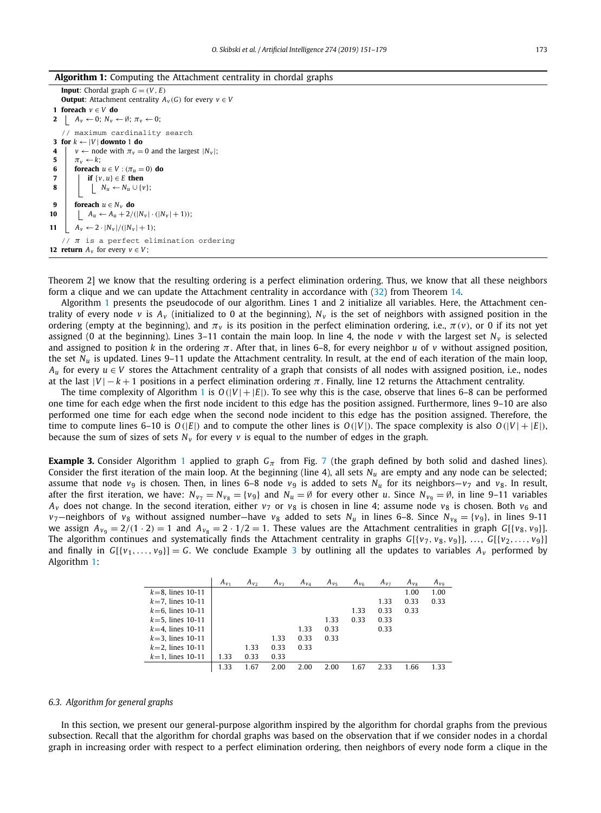#### <span id="page-22-0"></span>**Algorithm 1:** Computing the Attachment centrality in chordal graphs

```
Input: Chordal graph G = (V, E)Output: Attachment centrality A_v(G) for every v \in V1 foreach v ∈ V do
 2 A<sub>v</sub> \leftarrow 0; N_v \leftarrow Ø; \pi_v \leftarrow 0;
    // maximum cardinality search
 3 for k \leftarrow |V| downto 1 do
 4 v \leftarrow node with \pi_v = 0 and the largest |N_v|;<br>5 \pi_v \leftarrow k:
         \pi<sup>v</sup> ← k;
 6 foreach u \in V : (\pi_u = 0) do<br>7 if \{v, u\} \in E then
             if \{v, u\} \in E then
8 N<sub>u</sub> ← N<sub>u</sub> ∪ {v};
 9 foreach u \in N_v do
10 A_u \leftarrow A_u + 2/(|N_v| \cdot (|N_v| + 1));11 A_v \leftarrow 2 \cdot |N_v| / (|N_v| + 1);// π is a perfect elimination ordering
12 <b>return A_v for every v \in V;
```
Theorem 2] we know that the resulting ordering is a perfect elimination ordering. Thus, we know that all these neighbors form a clique and we can update the Attachment centrality in accordance with [\(32\)](#page-21-0) from Theorem [14.](#page-21-0)

Algorithm 1 presents the pseudocode of our algorithm. Lines 1 and 2 initialize all variables. Here, the Attachment centrality of every node *v* is  $A_v$  (initialized to 0 at the beginning),  $N_v$  is the set of neighbors with assigned position in the ordering (empty at the beginning), and  $\pi$ <sup>*v*</sup> is its position in the perfect elimination ordering, i.e.,  $\pi$ (*v*), or 0 if its not yet assigned (0 at the beginning). Lines 3–11 contain the main loop. In line 4, the node  $v$  with the largest set  $N_v$  is selected and assigned to position *k* in the ordering *π*. After that, in lines 6–8, for every neighbor *u* of *v* without assigned position, the set *Nu* is updated. Lines 9–11 update the Attachment centrality. In result, at the end of each iteration of the main loop, *A<sub>u</sub>* for every  $u \in V$  stores the Attachment centrality of a graph that consists of all nodes with assigned position, i.e., nodes at the last  $|V| - k + 1$  positions in a perfect elimination ordering  $\pi$ . Finally, line 12 returns the Attachment centrality.

The time complexity of Algorithm 1 is  $O(|V| + |E|)$ . To see why this is the case, observe that lines 6–8 can be performed one time for each edge when the first node incident to this edge has the position assigned. Furthermore, lines 9–10 are also performed one time for each edge when the second node incident to this edge has the position assigned. Therefore, the time to compute lines 6–10 is  $O(|E|)$  and to compute the other lines is  $O(|V|)$ . The space complexity is also  $O(|V| + |E|)$ , because the sum of sizes of sets  $N_v$  for every  $v$  is equal to the number of edges in the graph.

**Example 3.** Consider Algorithm 1 applied to graph  $G_\pi$  from Fig. [7](#page-21-0) (the graph defined by both solid and dashed lines). Consider the first iteration of the main loop. At the beginning (line 4), all sets *Nu* are empty and any node can be selected; assume that node  $v_9$  is chosen. Then, in lines 6–8 node  $v_9$  is added to sets  $N_u$  for its neighbors– $v_7$  and  $v_8$ . In result, after the first iteration, we have:  $N_{v_7} = N_{v_8} = \{v_9\}$  and  $N_u = \emptyset$  for every other *u*. Since  $N_{v_9} = \emptyset$ , in line 9–11 variables  $A_v$  does not change. In the second iteration, either  $v_7$  or  $v_8$  is chosen in line 4; assume node  $v_8$  is chosen. Both  $v_6$  and *v*<sub>7</sub>—neighbors of *v*<sub>8</sub> without assigned number—have *v*<sub>8</sub> added to sets *N<sub>u</sub>* in lines 6–8. Since *N<sub>v8</sub>* = {*v*<sub>9</sub>}, in lines 9-11 we assign  $A_{v_9} = 2/(1 \cdot 2) = 1$  and  $A_{v_8} = 2 \cdot 1/2 = 1$ . These values are the Attachment centralities in graph  $G[{v_8, v_9}]$ . The algorithm continues and systematically finds the Attachment centrality in graphs  $G[\{v_7, v_8, v_9\}], \ldots, G[\{v_2, \ldots, v_9\}]$ and finally in  $G[{v_1,\ldots,v_9}] = G$ . We conclude Example 3 by outlining all the updates to variables  $A_v$  performed by Algorithm 1:

|                       | $A_{V_1}$ | $A_{V_2}$ | $A_{V_2}$ | $A_{V_A}$ | $A_{V_5}$ | $A_{v_6}$ | $A_{V}$ | $A_{V_8}$ | $A_{V_9}$ |
|-----------------------|-----------|-----------|-----------|-----------|-----------|-----------|---------|-----------|-----------|
| $k = 8$ , lines 10-11 |           |           |           |           |           |           |         | 1.00      | 1.00      |
| $k=7$ , lines 10-11   |           |           |           |           |           |           | 1.33    | 0.33      | 0.33      |
| $k=6$ , lines 10-11   |           |           |           |           |           | 1.33      | 0.33    | 0.33      |           |
| $k = 5$ , lines 10-11 |           |           |           |           | 1.33      | 0.33      | 0.33    |           |           |
| $k = 4$ . lines 10-11 |           |           |           | 1.33      | 0.33      |           | 0.33    |           |           |
| $k = 3$ , lines 10-11 |           |           | 1.33      | 0.33      | 0.33      |           |         |           |           |
| $k=2$ , lines 10-11   |           | 1.33      | 0.33      | 0.33      |           |           |         |           |           |
| $k = 1$ , lines 10-11 | 1.33      | 0.33      | 0.33      |           |           |           |         |           |           |
|                       | 1.33      | 1.67      | 2.00      | 2.00      | 2.00      | 1.67      | 2.33    | 1.66      | 1.33      |

#### *6.3. Algorithm for general graphs*

In this section, we present our general-purpose algorithm inspired by the algorithm for chordal graphs from the previous subsection. Recall that the algorithm for chordal graphs was based on the observation that if we consider nodes in a chordal graph in increasing order with respect to a perfect elimination ordering, then neighbors of every node form a clique in the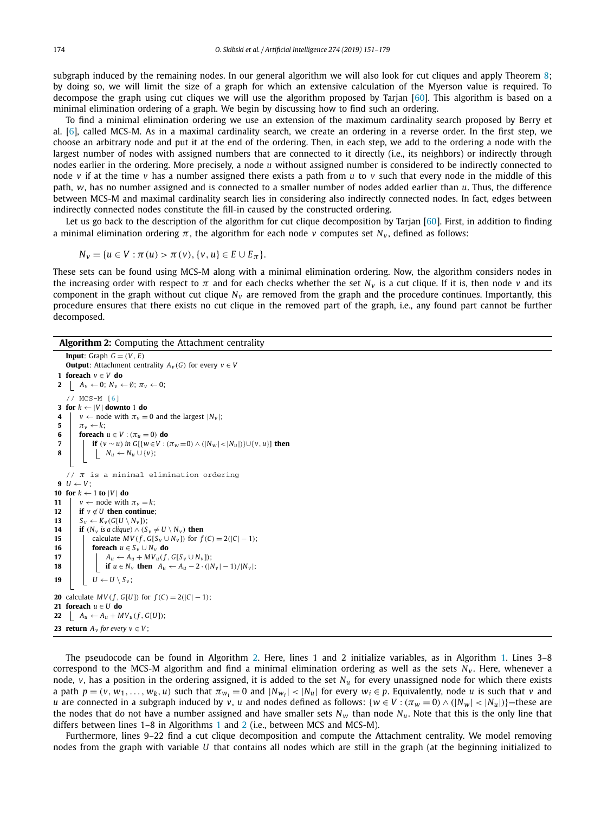<span id="page-23-0"></span>subgraph induced by the remaining nodes. In our general algorithm we will also look for cut cliques and apply Theorem [8;](#page-15-0) by doing so, we will limit the size of a graph for which an extensive calculation of the Myerson value is required. To decompose the graph using cut cliques we will use the algorithm proposed by Tarjan [\[60\]](#page-28-0). This algorithm is based on a minimal elimination ordering of a graph. We begin by discussing how to find such an ordering.

To find a minimal elimination ordering we use an extension of the maximum cardinality search proposed by Berry et al. [\[6\]](#page-27-0), called MCS-M. As in a maximal cardinality search, we create an ordering in a reverse order. In the first step, we choose an arbitrary node and put it at the end of the ordering. Then, in each step, we add to the ordering a node with the largest number of nodes with assigned numbers that are connected to it directly (i.e., its neighbors) or indirectly through nodes earlier in the ordering. More precisely, a node *u* without assigned number is considered to be indirectly connected to node *v* if at the time *v* has a number assigned there exists a path from *u* to *v* such that every node in the middle of this path, *w*, has no number assigned and is connected to a smaller number of nodes added earlier than *u*. Thus, the difference between MCS-M and maximal cardinality search lies in considering also indirectly connected nodes. In fact, edges between indirectly connected nodes constitute the fill-in caused by the constructed ordering.

Let us go back to the description of the algorithm for cut clique decomposition by Tarjan [\[60\]](#page-28-0). First, in addition to finding a minimal elimination ordering  $\pi$ , the algorithm for each node *v* computes set  $N_v$ , defined as follows:

$$
N_{v} = \{u \in V : \pi(u) > \pi(v), \{v, u\} \in E \cup E_{\pi}\}.
$$

These sets can be found using MCS-M along with a minimal elimination ordering. Now, the algorithm considers nodes in the increasing order with respect to  $\pi$  and for each checks whether the set  $N_v$  is a cut clique. If it is, then node *v* and its component in the graph without cut clique  $N_v$  are removed from the graph and the procedure continues. Importantly, this procedure ensures that there exists no cut clique in the removed part of the graph, i.e., any found part cannot be further decomposed.

# **Algorithm 2:** Computing the Attachment centrality

```
Input: Graph G = (V, E)Output: Attachment centrality A_v(G) for every v \in V1 foreach v ∈ V do
 2 A<sub>v</sub> \leftarrow 0; N<sub>v</sub> \leftarrow Ø; π<sub>v</sub> \leftarrow 0;
     // MCS-M [6]
 3 for k ← |V | downto 1 do
 4 v \leftarrow node with \pi_v = 0 and the largest |N_v|;
 5 \pi_v \leftarrow k:
 6 foreach u \in V : (\pi_u = 0) do<br>7 l if (v \sim u) in G[\{w \in V : (0, 0)\}]if (v \sim u) in G[{w \in V : (\pi_w=0) \wedge (|N_w|<|N_u|)}] \cup {v, u}] then
 8 N<sub>u</sub> ← N<sub>u</sub> ∪ {v};
     // π is a minimal elimination ordering
 9 U \leftarrow V10 for k \leftarrow 1 to |V| do
11 v \leftarrow \text{node with } \pi_v = k;12 if v \notin U then continue;
13 S_v \leftarrow K_v(G[U \setminus N_v]);14 if (N_v \text{ is a clique}) \land (S_v \neq U \setminus N_v) then<br>15 calculate MV(f G[S<sub>v</sub> \cup N<sub>v</sub>]) for f
               15 calculate MV(f, G[S_v \cup N_v]) for f(C) = 2(|C| - 1);
16 foreach u \in S_v \cup N_v do<br>17 f A_u \leftarrow A_u + MV_u(f)A_u \leftarrow A_u + MV_u(f, G[S_v \cup N_v]);
18 if u \in N_v then A_u \leftarrow A_u - 2 \cdot (|N_v| - 1)/|N_v|;
19 U \leftarrow U \setminus S_v;20 calculate MV(f, G[U]) for f(C) = 2(|C| - 1);
21 foreach u ∈ U do
22 A_u \leftarrow A_u + MV_u(f, G[U]);
23 return A_v for every v \in V;
```
The pseudocode can be found in Algorithm 2. Here, lines 1 and 2 initialize variables, as in Algorithm [1.](#page-22-0) Lines 3–8 correspond to the MCS-M algorithm and find a minimal elimination ordering as well as the sets N<sub>v</sub>. Here, whenever a node, *v*, has a position in the ordering assigned, it is added to the set *Nu* for every unassigned node for which there exists a path  $p = (v, w_1, \dots, w_k, u)$  such that  $\pi_{w_i} = 0$  and  $|N_{w_i}| < |N_u|$  for every  $w_i \in p$ . Equivalently, node u is such that v and *u* are connected in a subgraph induced by *v*, *u* and nodes defined as follows:  $\{w \in V : (\pi_w = 0) \wedge (\vert N_w \vert < \vert N_u \vert)\}$ —these are the nodes that do not have a number assigned and have smaller sets  $N_w$  than node  $N_u$ . Note that this is the only line that differs between lines 1–8 in Algorithms [1](#page-22-0) and 2 (i.e., between MCS and MCS-M).

Furthermore, lines 9–22 find a cut clique decomposition and compute the Attachment centrality. We model removing nodes from the graph with variable *U* that contains all nodes which are still in the graph (at the beginning initialized to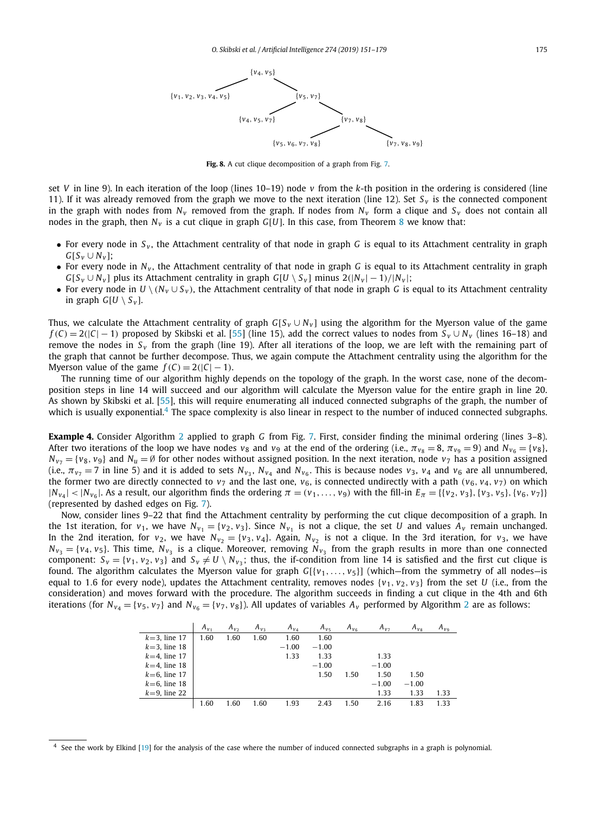<span id="page-24-0"></span>

**Fig. 8.** A cut clique decomposition of a graph from Fig. [7.](#page-21-0)

set *V* in line 9). In each iteration of the loop (lines  $10-19$ ) node *v* from the *k*-th position in the ordering is considered (line 11). If it was already removed from the graph we move to the next iteration (line 12). Set  $S_v$  is the connected component in the graph with nodes from  $N_v$  removed from the graph. If nodes from  $N_v$  form a clique and  $S_v$  does not contain all nodes in the graph, then  $N_v$  is a cut clique in graph  $G[U]$ . In this case, from Theorem [8](#page-15-0) we know that:

- For every node in *S <sup>v</sup>* , the Attachment centrality of that node in graph *G* is equal to its Attachment centrality in graph  $G[S_v \cup N_v]$ ;
- For every node in  $N_v$ , the Attachment centrality of that node in graph *G* is equal to its Attachment centrality in graph *G*[ $S_v \cup N_v$ ] plus its Attachment centrality in graph *G*[*U* \  $S_v$ ] minus 2( $|N_v| - 1$ )/ $|N_v|$ ;
- For every node in  $U \setminus (N_v \cup S_v)$ , the Attachment centrality of that node in graph *G* is equal to its Attachment centrality in graph  $G[U \setminus S_{V}]$ .

Thus, we calculate the Attachment centrality of graph  $G[S_v \cup N_v]$  using the algorithm for the Myerson value of the game  $f(C) = 2(|C| - 1)$  proposed by Skibski et al. [\[55\]](#page-28-0) (line 15), add the correct values to nodes from  $S_V \cup N_V$  (lines 16–18) and remove the nodes in  $S<sub>v</sub>$  from the graph (line 19). After all iterations of the loop, we are left with the remaining part of the graph that cannot be further decompose. Thus, we again compute the Attachment centrality using the algorithm for the Myerson value of the game  $f(C) = 2(|C| - 1)$ .

The running time of our algorithm highly depends on the topology of the graph. In the worst case, none of the decomposition steps in line 14 will succeed and our algorithm will calculate the Myerson value for the entire graph in line 20. As shown by Skibski et al. [\[55\]](#page-28-0), this will require enumerating all induced connected subgraphs of the graph, the number of which is usually exponential.<sup>4</sup> The space complexity is also linear in respect to the number of induced connected subgraphs.

**Example 4.** Consider Algorithm [2](#page-23-0) applied to graph *G* from Fig. [7.](#page-21-0) First, consider finding the minimal ordering (lines 3–8). After two iterations of the loop we have nodes  $v_8$  and  $v_9$  at the end of the ordering (i.e.,  $\pi_{v_8} = 8$ ,  $\pi_{v_9} = 9$ ) and  $N_{v_6} = \{v_8\}$ ,  $N_{v_7} = \{v_8, v_9\}$  and  $N_u = \emptyset$  for other nodes without assigned position. In the next iteration, node  $v_7$  has a position assigned (i.e.,  $\pi_{v_7} = 7$  in line 5) and it is added to sets  $N_{v_3}$ ,  $N_{v_4}$  and  $N_{v_6}$ . This is because nodes  $v_3$ ,  $v_4$  and  $v_6$  are all unnumbered, the former two are directly connected to  $v_7$  and the last one,  $v_6$ , is connected undirectly with a path  $(v_6, v_4, v_7)$  on which  $|N_{v_4}|$  <  $|N_{v_6}|$ . As a result, our algorithm finds the ordering  $\pi = (v_1, \ldots, v_9)$  with the fill-in  $E_{\pi} = \{\{v_2, v_3\}, \{v_3, v_5\}, \{v_6, v_7\}\}\$ (represented by dashed edges on Fig. [7\)](#page-21-0).

Now, consider lines 9–22 that find the Attachment centrality by performing the cut clique decomposition of a graph. In the 1st iteration, for  $v_1$ , we have  $N_{v_1} = \{v_2, v_3\}$ . Since  $N_{v_1}$  is not a clique, the set *U* and values  $A_v$  remain unchanged. In the 2nd iteration, for  $v_2$ , we have  $N_{v_2} = \{v_3, v_4\}$ . Again,  $N_{v_2}$  is not a clique. In the 3rd iteration, for  $v_3$ , we have  $N_{v_3} = \{v_4, v_5\}$ . This time,  $N_{v_3}$  is a clique. Moreover, removing  $N_{v_3}$  from the graph results in more than one connected component:  $S_v = \{v_1, v_2, v_3\}$  and  $S_v \neq U \setminus N_{v_3}$ ; thus, the if-condition from line 14 is satisfied and the first cut clique is found. The algorithm calculates the Myerson value for graph  $G[\{v_1, \ldots, v_5\}]$  (which–from the symmetry of all nodes–is equal to 1.6 for every node), updates the Attachment centrality, removes nodes  $\{v_1, v_2, v_3\}$  from the set *U* (i.e., from the consideration) and moves forward with the procedure. The algorithm succeeds in finding a cut clique in the 4th and 6th iterations (for  $N_{v_4} = \{v_5, v_7\}$  and  $N_{v_6} = \{v_7, v_8\}$ ). All updates of variables  $A_v$  performed by Algorithm [2](#page-23-0) are as follows:

|                 | $A_{v_1}$ | $A_{v_2}$ | $A_{v_3}$ | $A_{V_A}$ | $A_{\nu}$ | $A_{V_6}$ | $A_{v}$ | $A_{v_8}$ | $A_{v_9}$ |
|-----------------|-----------|-----------|-----------|-----------|-----------|-----------|---------|-----------|-----------|
| $k=3$ , line 17 | 1.60      | 1.60      | 1.60      | 1.60      | 1.60      |           |         |           |           |
| $k=3$ , line 18 |           |           |           | $-1.00$   | $-1.00$   |           |         |           |           |
| $k=4$ , line 17 |           |           |           | 1.33      | 1.33      |           | 1.33    |           |           |
| $k=4$ , line 18 |           |           |           |           | $-1.00$   |           | $-1.00$ |           |           |
| $k=6$ , line 17 |           |           |           |           | 1.50      | 1.50      | 1.50    | 1.50      |           |
| $k=6$ , line 18 |           |           |           |           |           |           | $-1.00$ | $-1.00$   |           |
| $k=9$ , line 22 |           |           |           |           |           |           | 1.33    | 1.33      | 1.33      |
|                 | 1.60      | 1.60      | 1.60      | 1.93      | 2.43      | 1.50      | 2.16    | 1.83      | 1.33      |

 $4$  See the work by Elkind [\[19\]](#page-27-0) for the analysis of the case where the number of induced connected subgraphs in a graph is polynomial.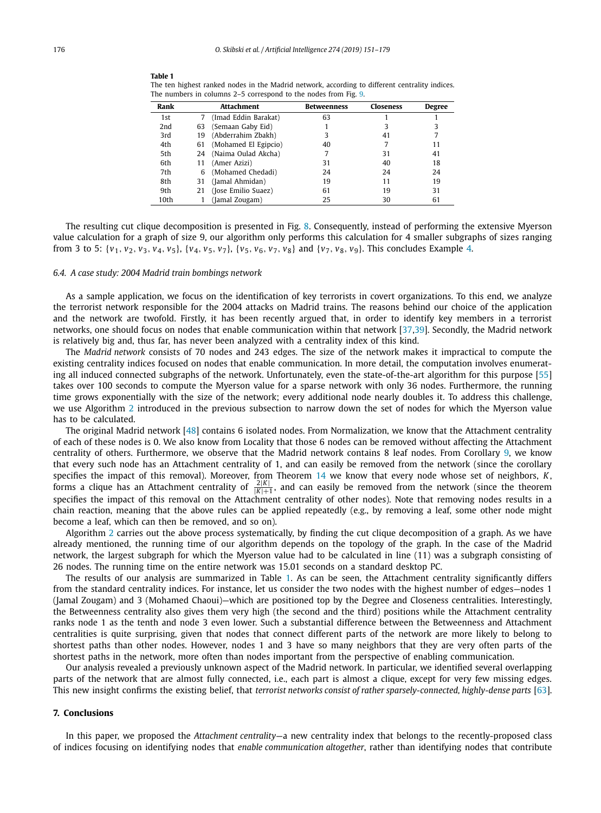| Rank |    | Attachment           | <b>Betweenness</b> | Closeness | <b>Degree</b> |
|------|----|----------------------|--------------------|-----------|---------------|
| 1st  |    | (Imad Eddin Barakat) | 63                 |           |               |
| 2nd  | 63 | (Semaan Gaby Eid)    |                    |           |               |
| 3rd  | 19 | (Abderrahim Zbakh)   |                    | 41        |               |
| 4th  | 61 | (Mohamed El Egipcio) | 40                 |           | 11            |
| 5th  | 24 | (Naima Oulad Akcha)  |                    | 31        | 41            |
| 6th  | 11 | (Amer Azizi)         | 31                 | 40        | 18            |
| 7th  | 6  | (Mohamed Chedadi)    | 24                 | 24        | 24            |
| 8th  | 31 | (Jamal Ahmidan)      | 19                 | 11        | 19            |
| 9th  | 21 | (Jose Emilio Suaez)  | 61                 | 19        | 31            |
| 10th |    | (Jamal Zougam)       | 25                 | 30        | 61            |

**Table 1**

<span id="page-25-0"></span>The ten highest ranked nodes in the Madrid network, according to different centrality indices. The numbers in columns 2–5 correspond to the nodes from Fig. [9.](#page-26-0)

The resulting cut clique decomposition is presented in Fig. [8.](#page-24-0) Consequently, instead of performing the extensive Myerson value calculation for a graph of size 9, our algorithm only performs this calculation for 4 smaller subgraphs of sizes ranging from 3 to 5:  $\{v_1, v_2, v_3, v_4, v_5\}$ ,  $\{v_4, v_5, v_7\}$ ,  $\{v_5, v_6, v_7, v_8\}$  and  $\{v_7, v_8, v_9\}$ . This concludes Example [4.](#page-24-0)

#### *6.4. A case study: 2004 Madrid train bombings network*

As a sample application, we focus on the identification of key terrorists in covert organizations. To this end, we analyze the terrorist network responsible for the 2004 attacks on Madrid trains. The reasons behind our choice of the application and the network are twofold. Firstly, it has been recently argued that, in order to identify key members in a terrorist networks, one should focus on nodes that enable communication within that network [\[37,39\]](#page-28-0). Secondly, the Madrid network is relatively big and, thus far, has never been analyzed with a centrality index of this kind.

The *Madrid network* consists of 70 nodes and 243 edges. The size of the network makes it impractical to compute the existing centrality indices focused on nodes that enable communication. In more detail, the computation involves enumerating all induced connected subgraphs of the network. Unfortunately, even the state-of-the-art algorithm for this purpose [\[55\]](#page-28-0) takes over 100 seconds to compute the Myerson value for a sparse network with only 36 nodes. Furthermore, the running time grows exponentially with the size of the network; every additional node nearly doubles it. To address this challenge, we use Algorithm [2](#page-23-0) introduced in the previous subsection to narrow down the set of nodes for which the Myerson value has to be calculated.

The original Madrid network [\[48\]](#page-28-0) contains 6 isolated nodes. From Normalization, we know that the Attachment centrality of each of these nodes is 0. We also know from Locality that those 6 nodes can be removed without affecting the Attachment centrality of others. Furthermore, we observe that the Madrid network contains 8 leaf nodes. From Corollary [9,](#page-16-0) we know that every such node has an Attachment centrality of 1, and can easily be removed from the network (since the corollary specifies the impact of this removal). Moreover, from Theorem [14](#page-21-0) we know that every node whose set of neighbors, K<br>forms a clique has an Attachment centrality of  $\frac{2|K|}{|K|+1}$ , and can easily be removed from the networ specifies the impact of this removal on the Attachment centrality of other nodes). Note that removing nodes results in a chain reaction, meaning that the above rules can be applied repeatedly (e.g., by removing a leaf, some other node might become a leaf, which can then be removed, and so on).

Algorithm [2](#page-23-0) carries out the above process systematically, by finding the cut clique decomposition of a graph. As we have already mentioned, the running time of our algorithm depends on the topology of the graph. In the case of the Madrid network, the largest subgraph for which the Myerson value had to be calculated in line (11) was a subgraph consisting of 26 nodes. The running time on the entire network was 15.01 seconds on a standard desktop PC.

The results of our analysis are summarized in Table 1. As can be seen, the Attachment centrality significantly differs from the standard centrality indices. For instance, let us consider the two nodes with the highest number of edges—nodes 1 (Jamal Zougam) and 3 (Mohamed Chaoui)—which are positioned top by the Degree and Closeness centralities. Interestingly, the Betweenness centrality also gives them very high (the second and the third) positions while the Attachment centrality ranks node 1 as the tenth and node 3 even lower. Such a substantial difference between the Betweenness and Attachment centralities is quite surprising, given that nodes that connect different parts of the network are more likely to belong to shortest paths than other nodes. However, nodes 1 and 3 have so many neighbors that they are very often parts of the shortest paths in the network, more often than nodes important from the perspective of enabling communication.

Our analysis revealed a previously unknown aspect of the Madrid network. In particular, we identified several overlapping parts of the network that are almost fully connected, i.e., each part is almost a clique, except for very few missing edges. This new insight confirms the existing belief, that *terrorist networks consist of rather sparsely-connected, highly-dense parts* [\[63\]](#page-28-0).

### **7. Conclusions**

In this paper, we proposed the *Attachment centrality*—a new centrality index that belongs to the recently-proposed class of indices focusing on identifying nodes that *enable communication altogether*, rather than identifying nodes that contribute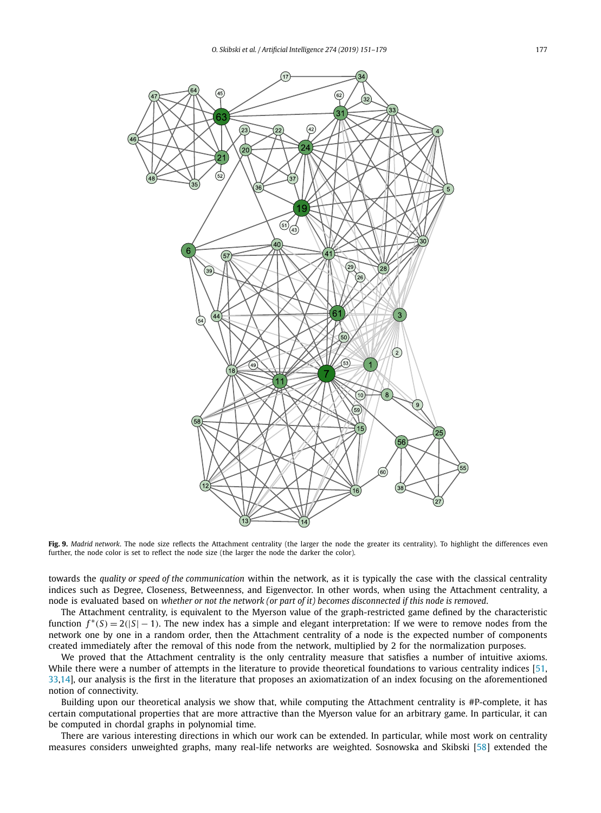<span id="page-26-0"></span>

**Fig. 9.** *Madrid network*. The node size reflects the Attachment centrality (the larger the node the greater its centrality). To highlight the differences even further, the node color is set to reflect the node size (the larger the node the darker the color).

towards the *quality or speed of the communication* within the network, as it is typically the case with the classical centrality indices such as Degree, Closeness, Betweenness, and Eigenvector. In other words, when using the Attachment centrality, a node is evaluated based on whether or not the network (or part of it) becomes disconnected if this node is removed.

The Attachment centrality, is equivalent to the Myerson value of the graph-restricted game defined by the characteristic function  $f^*(S) = 2(|S| - 1)$ . The new index has a simple and elegant interpretation: If we were to remove nodes from the network one by one in a random order, then the Attachment centrality of a node is the expected number of components created immediately after the removal of this node from the network, multiplied by 2 for the normalization purposes.

We proved that the Attachment centrality is the only centrality measure that satisfies a number of intuitive axioms. While there were a number of attempts in the literature to provide theoretical foundations to various centrality indices [\[51,](#page-28-0) [33,14\]](#page-27-0), our analysis is the first in the literature that proposes an axiomatization of an index focusing on the aforementioned notion of connectivity.

Building upon our theoretical analysis we show that, while computing the Attachment centrality is #P-complete, it has certain computational properties that are more attractive than the Myerson value for an arbitrary game. In particular, it can be computed in chordal graphs in polynomial time.

There are various interesting directions in which our work can be extended. In particular, while most work on centrality measures considers unweighted graphs, many real-life networks are weighted. Sosnowska and Skibski [\[58\]](#page-28-0) extended the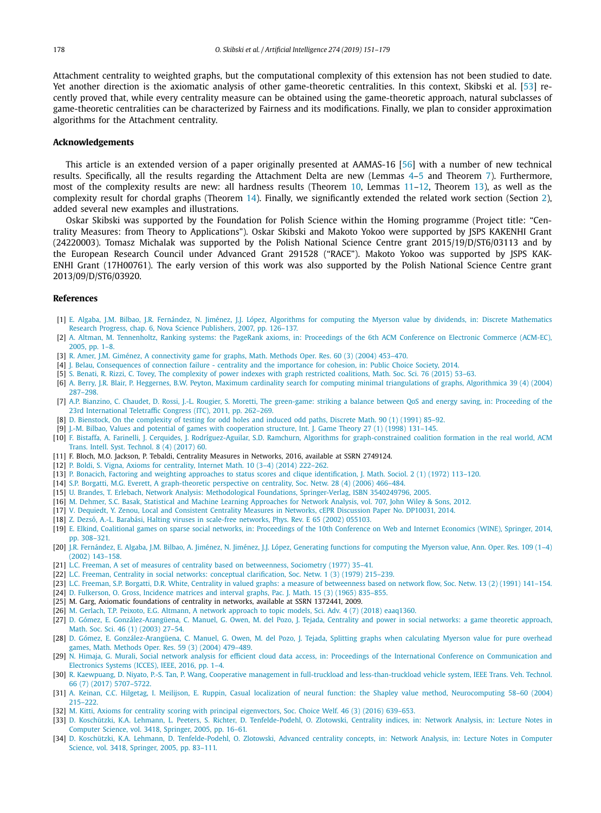<span id="page-27-0"></span>Attachment centrality to weighted graphs, but the computational complexity of this extension has not been studied to date. Yet another direction is the axiomatic analysis of other game-theoretic centralities. In this context, Skibski et al. [\[53\]](#page-28-0) recently proved that, while every centrality measure can be obtained using the game-theoretic approach, natural subclasses of game-theoretic centralities can be characterized by Fairness and its modifications. Finally, we plan to consider approximation algorithms for the Attachment centrality.

### **Acknowledgements**

This article is an extended version of a paper originally presented at AAMAS-16 [\[56\]](#page-28-0) with a number of new technical results. Specifically, all the results regarding the Attachment Delta are new (Lemmas [4–](#page-12-0)[5](#page-13-0) and Theorem [7\)](#page-14-0). Furthermore, most of the complexity results are new: all hardness results (Theorem [10,](#page-17-0) Lemmas [11](#page-18-0)[–12,](#page-19-0) Theorem [13\)](#page-20-0), as well as the complexity result for chordal graphs (Theorem [14\)](#page-21-0). Finally, we significantly extended the related work section (Section [2\)](#page-2-0), added several new examples and illustrations.

Oskar Skibski was supported by the Foundation for Polish Science within the Homing programme (Project title: "Centrality Measures: from Theory to Applications"). Oskar Skibski and Makoto Yokoo were supported by JSPS KAKENHI Grant (24220003). Tomasz Michalak was supported by the Polish National Science Centre grant 2015/19/D/ST6/03113 and by the European Research Council under Advanced Grant 291528 ("RACE"). Makoto Yokoo was supported by JSPS KAK-ENHI Grant (17H00761). The early version of this work was also supported by the Polish National Science Centre grant 2013/09/D/ST6/03920.

# **References**

- [1] E. Algaba, J.M. Bilbao, J.R. Fernández, N. Jiménez, J.J. López, Algorithms for computing the Myerson value by dividends, in: Discrete [Mathematics](http://refhub.elsevier.com/S0004-3702(18)30417-X/bib416C676162613A6574616C3A32303037s1) Research Progress, chap. 6, Nova Science Publishers, 2007, [pp. 126–137.](http://refhub.elsevier.com/S0004-3702(18)30417-X/bib416C676162613A6574616C3A32303037s1)
- [2] A. Altman, M. [Tennenholtz,](http://refhub.elsevier.com/S0004-3702(18)30417-X/bib416C746D616E3A54656E6E656E686F6C747A3A32303035s1) Ranking systems: the PageRank axioms, in: Proceedings of the 6th ACM Conference on Electronic Commerce (ACM-EC), 2005, [pp. 1–8.](http://refhub.elsevier.com/S0004-3702(18)30417-X/bib416C746D616E3A54656E6E656E686F6C747A3A32303035s1)
- [3] R. Amer, J.M. Giménez, A [connectivity](http://refhub.elsevier.com/S0004-3702(18)30417-X/bib416D65723A47696D656E657A3A32303034s1) game for graphs, Math. Methods Oper. Res. 60 (3) (2004) 453–470.
- [4] J. Belau, [Consequences](http://refhub.elsevier.com/S0004-3702(18)30417-X/bib42656C61753A32303134s1) of connection failure centrality and the importance for cohesion, in: Public Choice Society, 2014.
- [5] S. Benati, R. Rizzi, C. Tovey, The [complexity](http://refhub.elsevier.com/S0004-3702(18)30417-X/bib42656E6174693A6574616C3A32303135s1) of power indexes with graph restricted coalitions, Math. Soc. Sci. 76 (2015) 53–63.
- [6] A. Berry, J.R. Blair, P. Heggernes, B.W. Peyton, Maximum cardinality search for computing minimal [triangulations](http://refhub.elsevier.com/S0004-3702(18)30417-X/bib42657272793A6574616C3A32303034s1) of graphs, Algorithmica 39 (4) (2004) [287–298.](http://refhub.elsevier.com/S0004-3702(18)30417-X/bib42657272793A6574616C3A32303034s1)
- [7] A.P. Bianzino, C. Chaudet, D. Rossi, J.-L. Rougier, S. Moretti, The [green-game:](http://refhub.elsevier.com/S0004-3702(18)30417-X/bib4269616E7A696E6F3A6574616C3A32303131s1) striking a balance between QoS and energy saving, in: Proceeding of the 23rd International Teletraffic Congress (ITC), 2011, [pp. 262–269.](http://refhub.elsevier.com/S0004-3702(18)30417-X/bib4269616E7A696E6F3A6574616C3A32303131s1)
- [8] D. Bienstock, On the [complexity](http://refhub.elsevier.com/S0004-3702(18)30417-X/bib4269656E73746F636B3A31393931s1) of testing for odd holes and induced odd paths, Discrete Math. 90 (1) (1991) 85–92.
- [9] J.-M. Bilbao, Values and potential of games with [cooperation](http://refhub.elsevier.com/S0004-3702(18)30417-X/bib42696C62616F3A31393938s1) structure, Int. J. Game Theory 27 (1) (1998) 131–145.
- [10] F. Bistaffa, A. Farinelli, J. Cerquides, J. [Rodríguez-Aguilar,](http://refhub.elsevier.com/S0004-3702(18)30417-X/bib42697374616666613A6574616C3A32303137s1) S.D. Ramchurn, Algorithms for graph-constrained coalition formation in the real world, ACM Trans. Intell. Syst. [Technol.](http://refhub.elsevier.com/S0004-3702(18)30417-X/bib42697374616666613A6574616C3A32303137s1) 8 (4) (2017) 60.
- [11] F. Bloch, M.O. Jackson, P. Tebaldi, Centrality Measures in Networks, 2016, available at SSRN 2749124.
- [12] P. Boldi, S. Vigna, Axioms for [centrality,](http://refhub.elsevier.com/S0004-3702(18)30417-X/bib426F6C64693A5669676E613A32303134s1) Internet Math. 10 (3–4) (2014) 222–262.
- [13] P. Bonacich, Factoring and weighting approaches to status scores and clique [identification,](http://refhub.elsevier.com/S0004-3702(18)30417-X/bib426F6E61636963683A31393732s1) J. Math. Sociol. 2 (1) (1972) 113–120.
- [14] S.P. Borgatti, M.G. Everett, A [graph-theoretic](http://refhub.elsevier.com/S0004-3702(18)30417-X/bib426F7267617474693A457665726574743A32303036s1) perspective on centrality, Soc. Netw. 28 (4) (2006) 466–484.
- [15] U. Brandes, T. Erlebach, Network Analysis: Methodological Foundations, Springer-Verlag, [ISBN 3540249796,](http://refhub.elsevier.com/S0004-3702(18)30417-X/bib4272616E6465733A45726C65626163683A32303035s1) 2005.
- [16] M. Dehmer, S.C. Basak, Statistical and Machine Learning [Approaches](http://refhub.elsevier.com/S0004-3702(18)30417-X/bib4465686D65723A426173616B3A32303132s1) for Network Analysis, vol. 707, John Wiley & Sons, 2012.
- [17] V. Dequiedt, Y. Zenou, Local and Consistent Centrality Measures in Networks, cEPR [Discussion](http://refhub.elsevier.com/S0004-3702(18)30417-X/bib44657175696564743A5A656E6F753A32303134s1) Paper No. DP10031, 2014.
- [18] Z. Dezső, A.-L. Barabási, Halting viruses in scale-free [networks,](http://refhub.elsevier.com/S0004-3702(18)30417-X/bib44657A736F3A42617261626173693A32303032s1) Phys. Rev. E 65 (2002) 055103.
- [19] E. Elkind, Coalitional games on sparse social networks, in: [Proceedings](http://refhub.elsevier.com/S0004-3702(18)30417-X/bib456C6B696E643A32303134s1) of the 10th Conference on Web and Internet Economics (WINE), Springer, 2014, [pp. 308–321.](http://refhub.elsevier.com/S0004-3702(18)30417-X/bib456C6B696E643A32303134s1)
- [20] J.R. Fernández, E. Algaba, J.M. Bilbao, A. Jiménez, N. Jiménez, J.J. López, [Generating](http://refhub.elsevier.com/S0004-3702(18)30417-X/bib4665726E616E64657A3A6574616C3A32303032s1) functions for computing the Myerson value, Ann. Oper. Res. 109 (1–4) (2002) [143–158.](http://refhub.elsevier.com/S0004-3702(18)30417-X/bib4665726E616E64657A3A6574616C3A32303032s1)
- [21] L.C. Freeman, A set of measures of centrality based on [betweenness,](http://refhub.elsevier.com/S0004-3702(18)30417-X/bib467265656D616E3A31393737s1) Sociometry (1977) 35–41.
- [22] L.C. Freeman, Centrality in social networks: conceptual [clarification,](http://refhub.elsevier.com/S0004-3702(18)30417-X/bib467265656D616E3A31393739s1) Soc. Netw. 1 (3) (1979) 215–239.
- [23] L.C. Freeman, S.P. Borgatti, D.R. White, Centrality in valued graphs: a measure of [betweenness](http://refhub.elsevier.com/S0004-3702(18)30417-X/bib467265656D616E3A6574616C3A31393931s1) based on network flow, Soc. Netw. 13 (2) (1991) 141–154.
- [24] D. [Fulkerson,](http://refhub.elsevier.com/S0004-3702(18)30417-X/bib46756C6B6572736F6E3A47726F73733A31393635s1) O. Gross, Incidence matrices and interval graphs, Pac. J. Math. 15 (3) (1965) 835–855.
- [25] M. Garg, Axiomatic foundations of centrality in networks, available at SSRN 1372441, 2009.
- [26] M. Gerlach, T.P. Peixoto, E.G. Altmann, A network approach to topic models, Sci. Adv. 4 (7) (2018) [eaaq1360.](http://refhub.elsevier.com/S0004-3702(18)30417-X/bib4765726C6163683A6574616C3A32303138s1)
- [27] D. Gómez, E. [González-Arangüena,](http://refhub.elsevier.com/S0004-3702(18)30417-X/bib476F6D657A3A6574616C3A32303033s1) C. Manuel, G. Owen, M. del Pozo, J. Tejada, Centrality and power in social networks: a game theoretic approach, Math. Soc. Sci. 46 (1) (2003) [27–54.](http://refhub.elsevier.com/S0004-3702(18)30417-X/bib476F6D657A3A6574616C3A32303033s1)
- [28] D. Gómez, E. [González-Arangüena,](http://refhub.elsevier.com/S0004-3702(18)30417-X/bib476F6D657A3A6574616C3A32303034s1) C. Manuel, G. Owen, M. del Pozo, J. Tejada, Splitting graphs when calculating Myerson value for pure overhead games, Math. Methods Oper. Res. 59 (3) (2004) [479–489.](http://refhub.elsevier.com/S0004-3702(18)30417-X/bib476F6D657A3A6574616C3A32303034s1)
- [29] N. Himaja, G. Murali, Social network analysis for efficient cloud data access, in: Proceedings of the International Conference on [Communication](http://refhub.elsevier.com/S0004-3702(18)30417-X/bib48696D616A613A4D7572616C693A32303136s1) and [Electronics](http://refhub.elsevier.com/S0004-3702(18)30417-X/bib48696D616A613A4D7572616C693A32303136s1) Systems (ICCES), IEEE, 2016, pp. 1–4.
- [30] R. Kaewpuang, D. Niyato, P.-S. Tan, P. Wang, Cooperative management in full-truckload and [less-than-truckload](http://refhub.elsevier.com/S0004-3702(18)30417-X/bib4B6165777075616E673A6574616C3A32303137s1) vehicle system, IEEE Trans. Veh. Technol. 66 (7) (2017) [5707–5722.](http://refhub.elsevier.com/S0004-3702(18)30417-X/bib4B6165777075616E673A6574616C3A32303137s1)
- [31] A. Keinan, C.C. Hilgetag, I. Meilijson, E. Ruppin, Casual localization of neural function: the Shapley value method, [Neurocomputing](http://refhub.elsevier.com/S0004-3702(18)30417-X/bib4B65696E616E3A6574616C3A32303034s1) 58–60 (2004) [215–222.](http://refhub.elsevier.com/S0004-3702(18)30417-X/bib4B65696E616E3A6574616C3A32303034s1)
- [32] M. Kitti, Axioms for centrality scoring with principal [eigenvectors,](http://refhub.elsevier.com/S0004-3702(18)30417-X/bib4B697474693A32303136s1) Soc. Choice Welf. 46 (3) (2016) 639–653.
- [33] D. Koschützki, K.A. Lehmann, L. Peeters, S. Richter, D. [Tenfelde-Podehl,](http://refhub.elsevier.com/S0004-3702(18)30417-X/bib4B6F7363687565747A6B693A6574616C3A323030353A6368617074657233s1) O. Zlotowski, Centrality indices, in: Network Analysis, in: Lecture Notes in Computer Science, vol. 3418, Springer, 2005, [pp. 16–61.](http://refhub.elsevier.com/S0004-3702(18)30417-X/bib4B6F7363687565747A6B693A6574616C3A323030353A6368617074657233s1)
- [34] D. Koschützki, K.A. Lehmann, D. [Tenfelde-Podehl,](http://refhub.elsevier.com/S0004-3702(18)30417-X/bib4B6F7363687565747A6B693A6574616C3A323030353A6368617074657235s1) O. Zlotowski, Advanced centrality concepts, in: Network Analysis, in: Lecture Notes in Computer Science, vol. 3418, Springer, 2005, [pp. 83–111.](http://refhub.elsevier.com/S0004-3702(18)30417-X/bib4B6F7363687565747A6B693A6574616C3A323030353A6368617074657235s1)